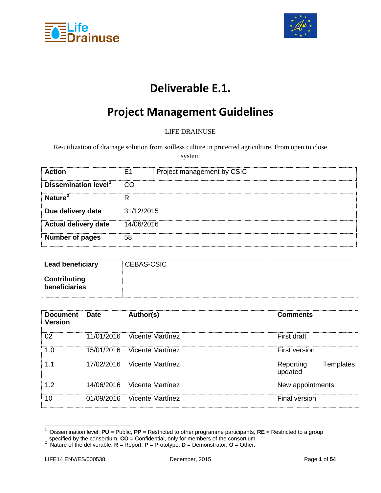



# **Deliverable E.1.**

# **Project Management Guidelines**

#### LIFE DRAINUSE

Re-utilization of drainage solution from soilless culture in protected agriculture. From open to close system

| <b>Action</b>                    | F1         | Project management by CSIC |
|----------------------------------|------------|----------------------------|
| Dissemination level <sup>1</sup> |            |                            |
| Nature <sup>2</sup>              |            |                            |
| Due delivery date                | 31/12/2015 |                            |
| <b>Actual delivery date</b>      | 14/06/2016 |                            |
| <b>Number of pages</b>           | 58         |                            |

| Lead beneficiary              | <b>CEBAS-CSIC</b> |
|-------------------------------|-------------------|
| Contributing<br>beneficiaries |                   |

| Document<br><b>Version</b> | ⊟ Date     | Author(s)                   | <b>Comments</b>                   |
|----------------------------|------------|-----------------------------|-----------------------------------|
|                            | 11/01/2016 | ⊟ Vicente Martínez          | First draft                       |
| l ()                       | 15/01/2016 | ⊟ Vicente Martínez          | First version                     |
|                            |            | 17/02/2016 Vicente Martínez | Templates<br>Reporting<br>updated |
| 1.2                        |            | 14/06/2016 Vicente Martínez | New appointments                  |
|                            | 01/09/2016 | ⊟ Vicente Martínez          | <b>Final version</b>              |

 <sup>1</sup> Dissemination level: **PU** = Public, **PP** = Restricted to other programme participants, **RE** = Restricted to a group

<span id="page-0-1"></span><span id="page-0-0"></span>specified by the consortium, **CO** = Confidential, only for members of the consortium. <sup>2</sup> Nature of the deliverable: **R** = Report, **P** = Prototype, **D** = Demonstrator, **O** = Other.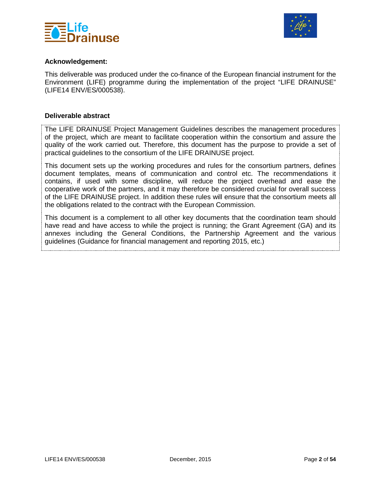



#### **Acknowledgement:**

This deliverable was produced under the co-finance of the European financial instrument for the Environment (LIFE) programme during the implementation of the project "LIFE DRAINUSE" (LIFE14 ENV/ES/000538).

#### **Deliverable abstract**

The LIFE DRAINUSE Project Management Guidelines describes the management procedures of the project, which are meant to facilitate cooperation within the consortium and assure the quality of the work carried out. Therefore, this document has the purpose to provide a set of practical guidelines to the consortium of the LIFE DRAINUSE project.

This document sets up the working procedures and rules for the consortium partners, defines document templates, means of communication and control etc. The recommendations it contains, if used with some discipline, will reduce the project overhead and ease the cooperative work of the partners, and it may therefore be considered crucial for overall success of the LIFE DRAINUSE project. In addition these rules will ensure that the consortium meets all the obligations related to the contract with the European Commission.

This document is a complement to all other key documents that the coordination team should have read and have access to while the project is running; the Grant Agreement (GA) and its annexes including the General Conditions, the Partnership Agreement and the various guidelines (Guidance for financial management and reporting 2015, etc.)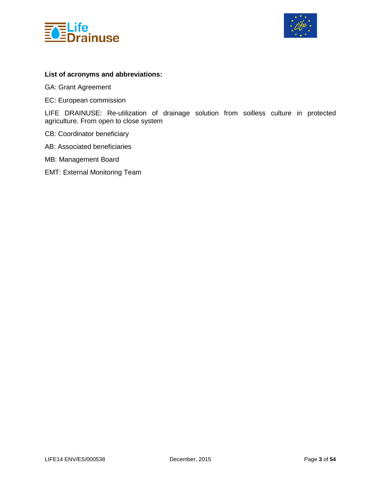



#### **List of acronyms and abbreviations:**

GA: Grant Agreement

EC: European commission

LIFE DRAINUSE: Re-utilization of drainage solution from soilless culture in protected agriculture. From open to close system

- CB: Coordinator beneficiary
- AB: Associated beneficiaries
- MB: Management Board
- EMT: External Monitoring Team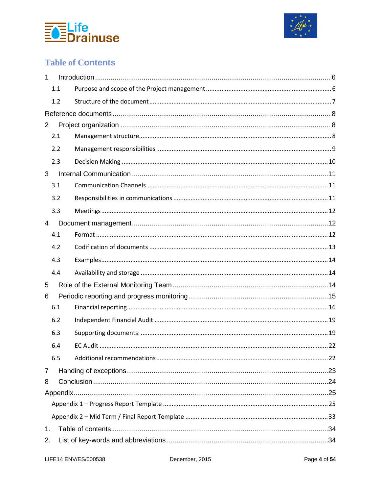



### **Table of Contents**

| 1              |     |  |  |  |
|----------------|-----|--|--|--|
|                | 1.1 |  |  |  |
|                | 1.2 |  |  |  |
|                |     |  |  |  |
| $\overline{2}$ |     |  |  |  |
|                | 2.1 |  |  |  |
|                | 2.2 |  |  |  |
|                | 2.3 |  |  |  |
| 3              |     |  |  |  |
|                | 3.1 |  |  |  |
|                | 3.2 |  |  |  |
|                | 3.3 |  |  |  |
| 4              |     |  |  |  |
|                | 4.1 |  |  |  |
|                | 4.2 |  |  |  |
|                | 4.3 |  |  |  |
|                | 4.4 |  |  |  |
| 5              |     |  |  |  |
| 6              |     |  |  |  |
|                | 6.1 |  |  |  |
|                | 6.2 |  |  |  |
|                | 6.3 |  |  |  |
|                | 6.4 |  |  |  |
|                | 6.5 |  |  |  |
| 7              |     |  |  |  |
| 8              |     |  |  |  |
|                |     |  |  |  |
|                |     |  |  |  |
|                |     |  |  |  |
| 1.             |     |  |  |  |
| 2.             |     |  |  |  |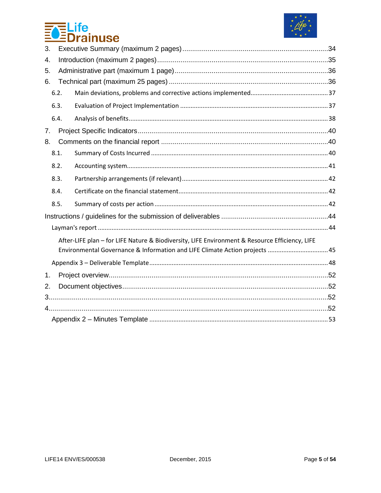



| 3.   |                                                                                                |  |  |
|------|------------------------------------------------------------------------------------------------|--|--|
| 4.   |                                                                                                |  |  |
| 5.   |                                                                                                |  |  |
| 6.   |                                                                                                |  |  |
| 6.2. |                                                                                                |  |  |
| 6.3. |                                                                                                |  |  |
| 6.4. |                                                                                                |  |  |
| 7.   |                                                                                                |  |  |
| 8.   |                                                                                                |  |  |
| 8.1. |                                                                                                |  |  |
| 8.2. |                                                                                                |  |  |
| 8.3. |                                                                                                |  |  |
| 8.4. |                                                                                                |  |  |
| 8.5. |                                                                                                |  |  |
|      |                                                                                                |  |  |
|      |                                                                                                |  |  |
|      | After-LIFE plan - for LIFE Nature & Biodiversity, LIFE Environment & Resource Efficiency, LIFE |  |  |
|      | Environmental Governance & Information and LIFE Climate Action projects  45                    |  |  |
|      |                                                                                                |  |  |
| 1.   |                                                                                                |  |  |
| 2.   |                                                                                                |  |  |
|      |                                                                                                |  |  |
|      |                                                                                                |  |  |
|      |                                                                                                |  |  |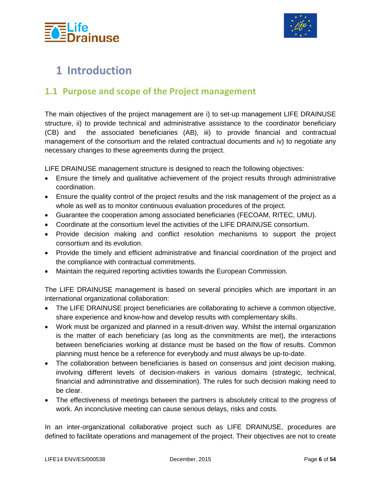



# <span id="page-5-0"></span>**1 Introduction**

### <span id="page-5-1"></span>**1.1 Purpose and scope of the Project management**

The main objectives of the project management are i) to set-up management LIFE DRAINUSE structure, ii) to provide technical and administrative assistance to the coordinator beneficiary (CB) and the associated beneficiaries (AB), iii) to provide financial and contractual management of the consortium and the related contractual documents and iv) to negotiate any necessary changes to these agreements during the project.

LIFE DRAINUSE management structure is designed to reach the following objectives:

- Ensure the timely and qualitative achievement of the project results through administrative coordination.
- Ensure the quality control of the project results and the risk management of the project as a whole as well as to monitor continuous evaluation procedures of the project.
- Guarantee the cooperation among associated beneficiaries (FECOAM, RITEC, UMU).
- Coordinate at the consortium level the activities of the LIFE DRAINUSE consortium.
- Provide decision making and conflict resolution mechanisms to support the project consortium and its evolution.
- Provide the timely and efficient administrative and financial coordination of the project and the compliance with contractual commitments.
- Maintain the required reporting activities towards the European Commission.

The LIFE DRAINUSE management is based on several principles which are important in an international organizational collaboration:

- The LIFE DRAINUSE project beneficiaries are collaborating to achieve a common objective, share experience and know-how and develop results with complementary skills.
- Work must be organized and planned in a result-driven way. Whilst the internal organization is the matter of each beneficiary (as long as the commitments are met), the interactions between beneficiaries working at distance must be based on the flow of results. Common planning must hence be a reference for everybody and must always be up-to-date.
- The collaboration between beneficiaries is based on consensus and joint decision making, involving different levels of decision-makers in various domains (strategic, technical, financial and administrative and dissemination). The rules for such decision making need to be clear.
- The effectiveness of meetings between the partners is absolutely critical to the progress of work. An inconclusive meeting can cause serious delays, risks and costs.

In an inter-organizational collaborative project such as LIFE DRAINUSE, procedures are defined to facilitate operations and management of the project. Their objectives are not to create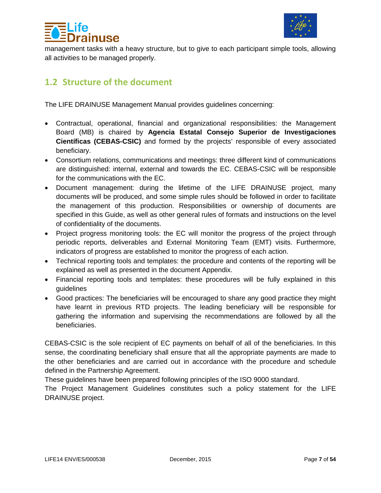



management tasks with a heavy structure, but to give to each participant simple tools, allowing all activities to be managed properly.

### <span id="page-6-0"></span>**1.2 Structure of the document**

The LIFE DRAINUSE Management Manual provides guidelines concerning:

- Contractual, operational, financial and organizational responsibilities: the Management Board (MB) is chaired by **Agencia Estatal Consejo Superior de Investigaciones Científicas (CEBAS-CSIC)** and formed by the projects' responsible of every associated beneficiary.
- Consortium relations, communications and meetings: three different kind of communications are distinguished: internal, external and towards the EC. CEBAS-CSIC will be responsible for the communications with the EC.
- Document management: during the lifetime of the LIFE DRAINUSE project, many documents will be produced, and some simple rules should be followed in order to facilitate the management of this production. Responsibilities or ownership of documents are specified in this Guide, as well as other general rules of formats and instructions on the level of confidentiality of the documents.
- Project progress monitoring tools: the EC will monitor the progress of the project through periodic reports, deliverables and External Monitoring Team (EMT) visits. Furthermore, indicators of progress are established to monitor the progress of each action.
- Technical reporting tools and templates: the procedure and contents of the reporting will be explained as well as presented in the document Appendix.
- Financial reporting tools and templates: these procedures will be fully explained in this guidelines
- Good practices: The beneficiaries will be encouraged to share any good practice they might have learnt in previous RTD projects. The leading beneficiary will be responsible for gathering the information and supervising the recommendations are followed by all the beneficiaries.

CEBAS-CSIC is the sole recipient of EC payments on behalf of all of the beneficiaries. In this sense, the coordinating beneficiary shall ensure that all the appropriate payments are made to the other beneficiaries and are carried out in accordance with the procedure and schedule defined in the Partnership Agreement.

These guidelines have been prepared following principles of the ISO 9000 standard.

The Project Management Guidelines constitutes such a policy statement for the LIFE DRAINUSE project.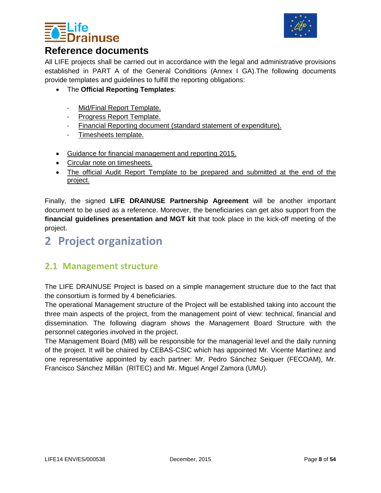



### <span id="page-7-0"></span>**Reference documents**

All LIFE projects shall be carried out in accordance with the legal and administrative provisions established in PART A of the General Conditions (Annex I GA).The following documents provide templates and guidelines to fulfill the reporting obligations:

- The **Official Reporting Templates**:
	- [Mid/Final Report Template.](http://ec.europa.eu/environment/life/toolkit/pmtools/lifeplus/documents/midterm_final_report_t_2013.doc)
	- [Progress Report Template.](http://ec.europa.eu/environment/life/toolkit/pmtools/lifeplus/documents/progress_report2007.doc)
	- [Financial Reporting document \(standard statement of expenditure\).](http://ec.europa.eu/environment/life/toolkit/pmtools/life2014_2020/documents/life_financial_reporting_2015-beneficiaries_150616.xlsm)
	- [Timesheets template.](http://ec.europa.eu/environment/life/toolkit/pmtools/life2014_2020/timesheets.htm)
- [Guidance for financial management and reporting 2015.](http://ec.europa.eu/environment/life/toolkit/pmtools/lifeplus/documents/231015_fin_management_reporting_guide_2015.doc)
- [Circular note on timesheets.](http://ec.europa.eu/environment/life/toolkit/pmtools/lifeplus/documents/100630_circular_note_time_sheets.pdf)
- [The official Audit Report Template to be prepared and submitted at the end of the](http://ec.europa.eu/environment/life/toolkit/pmtools/lifeplus/documents/120109_audit_report2007.doc)  [project.](http://ec.europa.eu/environment/life/toolkit/pmtools/lifeplus/documents/120109_audit_report2007.doc)

Finally, the signed **LIFE DRAINUSE Partnership Agreement** will be another important document to be used as a reference. Moreover, the beneficiaries can get also support from the **financial guidelines presentation and MGT kit** that took place in the kick-off meeting of the project.

# <span id="page-7-1"></span>**2 Project organization**

### <span id="page-7-2"></span>**2.1 Management structure**

The LIFE DRAINUSE Project is based on a simple management structure due to the fact that the consortium is formed by 4 beneficiaries.

The operational Management structure of the Project will be established taking into account the three main aspects of the project, from the management point of view: technical, financial and dissemination. The following diagram shows the Management Board Structure with the personnel categories involved in the project.

The Management Board (MB) will be responsible for the managerial level and the daily running of the project. It will be chaired by CEBAS-CSIC which has appointed Mr. Vicente Martínez and one representative appointed by each partner: Mr. Pedro Sánchez Seiquer (FECOAM), Mr. Francisco Sánchez Millán (RITEC) and Mr. Miguel Angel Zamora (UMU).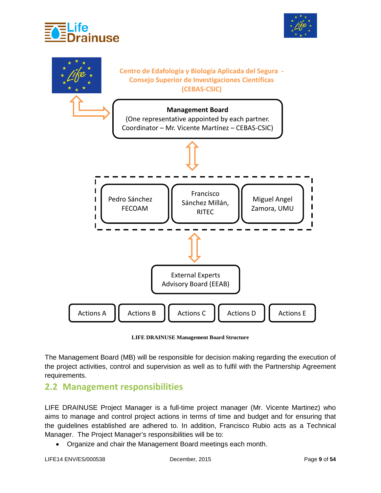





**LIFE DRAINUSE Management Board Structure**

The Management Board (MB) will be responsible for decision making regarding the execution of the project activities, control and supervision as well as to fulfil with the Partnership Agreement requirements.

### <span id="page-8-0"></span>**2.2 Management responsibilities**

LIFE DRAINUSE Project Manager is a full-time project manager (Mr. Vicente Martinez) who aims to manage and control project actions in terms of time and budget and for ensuring that the guidelines established are adhered to. In addition, Francisco Rubio acts as a Technical Manager. The Project Manager's responsibilities will be to:

• Organize and chair the Management Board meetings each month.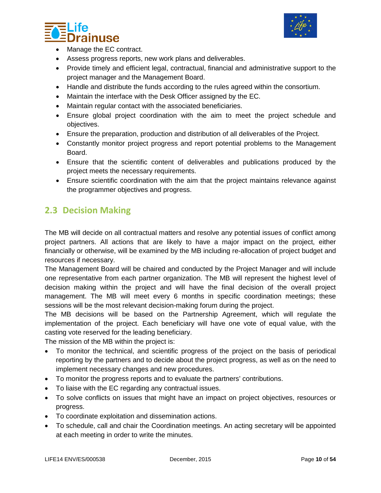



- Manage the EC contract.
- Assess progress reports, new work plans and deliverables.
- Provide timely and efficient legal, contractual, financial and administrative support to the project manager and the Management Board.
- Handle and distribute the funds according to the rules agreed within the consortium.
- Maintain the interface with the Desk Officer assigned by the EC.
- Maintain regular contact with the associated beneficiaries.
- Ensure global project coordination with the aim to meet the project schedule and objectives.
- Ensure the preparation, production and distribution of all deliverables of the Project.
- Constantly monitor project progress and report potential problems to the Management Board.
- Ensure that the scientific content of deliverables and publications produced by the project meets the necessary requirements.
- Ensure scientific coordination with the aim that the project maintains relevance against the programmer objectives and progress.

### <span id="page-9-0"></span>**2.3 Decision Making**

The MB will decide on all contractual matters and resolve any potential issues of conflict among project partners. All actions that are likely to have a major impact on the project, either financially or otherwise, will be examined by the MB including re-allocation of project budget and resources if necessary.

The Management Board will be chaired and conducted by the Project Manager and will include one representative from each partner organization. The MB will represent the highest level of decision making within the project and will have the final decision of the overall project management. The MB will meet every 6 months in specific coordination meetings; these sessions will be the most relevant decision-making forum during the project.

The MB decisions will be based on the Partnership Agreement, which will regulate the implementation of the project. Each beneficiary will have one vote of equal value, with the casting vote reserved for the leading beneficiary.

The mission of the MB within the project is:

- To monitor the technical, and scientific progress of the project on the basis of periodical reporting by the partners and to decide about the project progress, as well as on the need to implement necessary changes and new procedures.
- To monitor the progress reports and to evaluate the partners' contributions.
- To liaise with the EC regarding any contractual issues.
- To solve conflicts on issues that might have an impact on project objectives, resources or progress.
- To coordinate exploitation and dissemination actions.
- To schedule, call and chair the Coordination meetings. An acting secretary will be appointed at each meeting in order to write the minutes.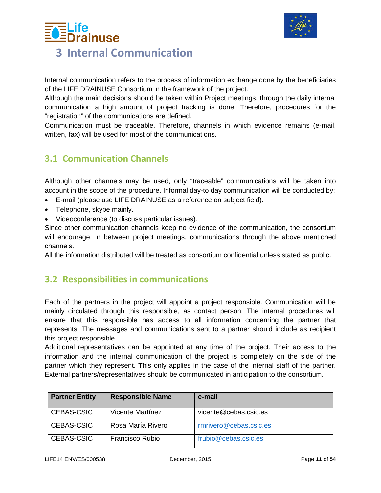



### <span id="page-10-0"></span>Internal communication refers to the process of information exchange done by the beneficiaries of the LIFE DRAINUSE Consortium in the framework of the project.

Although the main decisions should be taken within Project meetings, through the daily internal communication a high amount of project tracking is done. Therefore, procedures for the "registration" of the communications are defined.

Communication must be traceable. Therefore, channels in which evidence remains (e-mail, written, fax) will be used for most of the communications.

### <span id="page-10-1"></span>**3.1 Communication Channels**

Although other channels may be used, only "traceable" communications will be taken into account in the scope of the procedure. Informal day-to day communication will be conducted by:

- E-mail (please use LIFE DRAINUSE as a reference on subject field).
- Telephone, skype mainly.
- Videoconference (to discuss particular issues).

Since other communication channels keep no evidence of the communication, the consortium will encourage, in between project meetings, communications through the above mentioned channels.

All the information distributed will be treated as consortium confidential unless stated as public.

### <span id="page-10-2"></span>**3.2 Responsibilities in communications**

Each of the partners in the project will appoint a project responsible. Communication will be mainly circulated through this responsible, as contact person. The internal procedures will ensure that this responsible has access to all information concerning the partner that represents. The messages and communications sent to a partner should include as recipient this project responsible.

Additional representatives can be appointed at any time of the project. Their access to the information and the internal communication of the project is completely on the side of the partner which they represent. This only applies in the case of the internal staff of the partner. External partners/representatives should be communicated in anticipation to the consortium.

| <b>Partner Entity</b> | <b>Responsible Name</b> | e-mail                 |
|-----------------------|-------------------------|------------------------|
| CEBAS-CSIC            | Vicente Martínez        | vicente@cebas.csic.es  |
| CEBAS-CSIC            | Rosa María Rivero       | rmrivero@cebas.csic.es |
| CEBAS-CSIC            | <b>Francisco Rubio</b>  | frubio@cebas.csic.es   |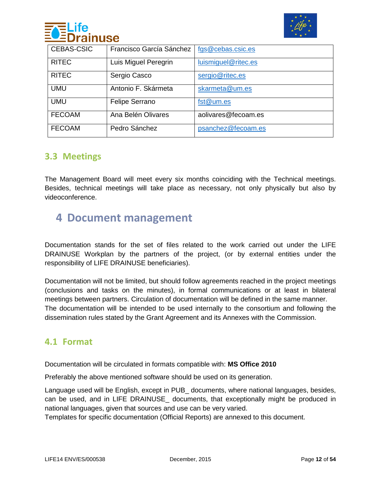



| <b>CEBAS-CSIC</b> | Francisco García Sánchez | fgs@cebas.csic.es   |
|-------------------|--------------------------|---------------------|
| <b>RITEC</b>      | Luis Miguel Peregrin     | luismiguel@ritec.es |
| <b>RITEC</b>      | Sergio Casco             | sergio@ritec.es     |
| <b>UMU</b>        | Antonio F. Skármeta      | skarmeta@um.es      |
| <b>UMU</b>        | Felipe Serrano           | fst@um.es           |
| <b>FECOAM</b>     | Ana Belén Olivares       | aolivares@fecoam.es |
| <b>FECOAM</b>     | Pedro Sánchez            | psanchez@fecoam.es  |

### <span id="page-11-0"></span>**3.3 Meetings**

The Management Board will meet every six months coinciding with the Technical meetings. Besides, technical meetings will take place as necessary, not only physically but also by videoconference.

## <span id="page-11-1"></span>**4 Document management**

Documentation stands for the set of files related to the work carried out under the LIFE DRAINUSE Workplan by the partners of the project, (or by external entities under the responsibility of LIFE DRAINUSE beneficiaries).

Documentation will not be limited, but should follow agreements reached in the project meetings (conclusions and tasks on the minutes), in formal communications or at least in bilateral meetings between partners. Circulation of documentation will be defined in the same manner. The documentation will be intended to be used internally to the consortium and following the dissemination rules stated by the Grant Agreement and its Annexes with the Commission.

### <span id="page-11-2"></span>**4.1 Format**

Documentation will be circulated in formats compatible with: **MS Office 2010**

Preferably the above mentioned software should be used on its generation.

Language used will be English, except in PUB\_ documents, where national languages, besides, can be used, and in LIFE DRAINUSE\_ documents, that exceptionally might be produced in national languages, given that sources and use can be very varied.

Templates for specific documentation (Official Reports) are annexed to this document.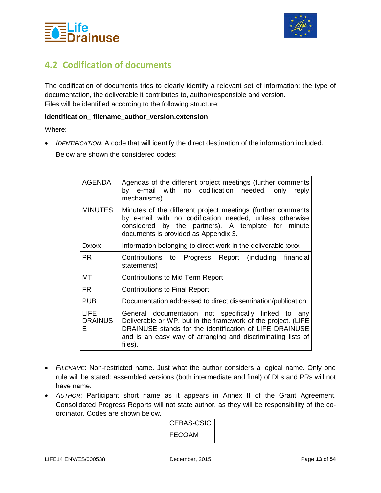



### <span id="page-12-0"></span>**4.2 Codification of documents**

The codification of documents tries to clearly identify a relevant set of information: the type of documentation, the deliverable it contributes to, author/responsible and version. Files will be identified according to the following structure:

#### **Identification\_ filename\_author\_version.extension**

Where:

• *IDENTIFICATION:* A code that will identify the direct destination of the information included. Below are shown the considered codes:

| <b>AGENDA</b>                      | Agendas of the different project meetings (further comments<br>by e-mail with no codification needed, only<br>reply<br>mechanisms)                                                                                                                         |  |
|------------------------------------|------------------------------------------------------------------------------------------------------------------------------------------------------------------------------------------------------------------------------------------------------------|--|
| <b>MINUTES</b>                     | Minutes of the different project meetings (further comments<br>by e-mail with no codification needed, unless otherwise<br>considered by the partners). A template for minute<br>documents is provided as Appendix 3.                                       |  |
| <b>Dxxxx</b>                       | Information belonging to direct work in the deliverable xxxx                                                                                                                                                                                               |  |
| <b>PR</b>                          | Contributions to Progress Report (including financial<br>statements)                                                                                                                                                                                       |  |
| MT                                 | <b>Contributions to Mid Term Report</b>                                                                                                                                                                                                                    |  |
| <b>FR</b>                          | <b>Contributions to Final Report</b>                                                                                                                                                                                                                       |  |
| <b>PUB</b>                         | Documentation addressed to direct dissemination/publication                                                                                                                                                                                                |  |
| <b>LIFE</b><br><b>DRAINUS</b><br>Е | General documentation not specifically linked to any<br>Deliverable or WP, but in the framework of the project. (LIFE<br>DRAINUSE stands for the identification of LIFE DRAINUSE<br>and is an easy way of arranging and discriminating lists of<br>files). |  |

- *FILENAME*: Non-restricted name. Just what the author considers a logical name. Only one rule will be stated: assembled versions (both intermediate and final) of DLs and PRs will not have name.
- *AUTHOR*: Participant short name as it appears in Annex II of the Grant Agreement. Consolidated Progress Reports will not state author, as they will be responsibility of the coordinator. Codes are shown below.

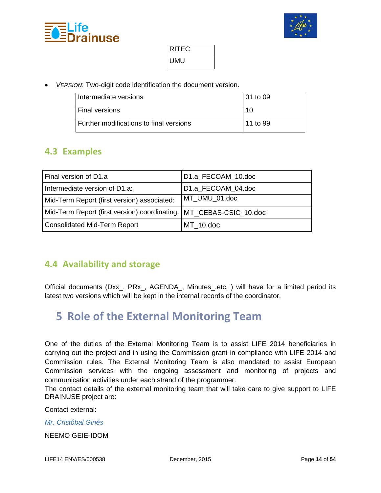



| RITEC |  |
|-------|--|
| UMU   |  |

• *VERSION*: Two-digit code identification the document version.

| I Intermediate versions                        | l 01 to 09 |
|------------------------------------------------|------------|
| <b>Final versions</b>                          | 10         |
| <b>Further modifications to final versions</b> | 11 to 99   |

### <span id="page-13-0"></span>**4.3 Examples**

| Final version of D1.a                                                | D1.a FECOAM 10.doc |
|----------------------------------------------------------------------|--------------------|
| Intermediate version of D1.a:                                        | D1.a FECOAM 04.doc |
| Mid-Term Report (first version) associated:                          | MT UMU 01.doc      |
| Mid-Term Report (first version) coordinating:   MT CEBAS-CSIC 10.doc |                    |
| Consolidated Mid-Term Report                                         | MT 10.doc          |

### <span id="page-13-1"></span>**4.4 Availability and storage**

Official documents (Dxx\_, PRx\_, AGENDA\_, Minutes\_.etc, ) will have for a limited period its latest two versions which will be kept in the internal records of the coordinator.

# <span id="page-13-2"></span>**5 Role of the External Monitoring Team**

One of the duties of the External Monitoring Team is to assist LIFE 2014 beneficiaries in carrying out the project and in using the Commission grant in compliance with LIFE 2014 and Commission rules. The External Monitoring Team is also mandated to assist European Commission services with the ongoing assessment and monitoring of projects and communication activities under each strand of the programmer.

The contact details of the external monitoring team that will take care to give support to LIFE DRAINUSE project are:

Contact external:

*Mr. Cristóbal Ginés* 

NEEMO GEIE-IDOM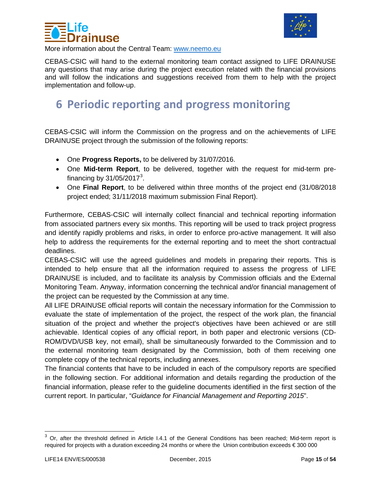



More information about the Central Team: [www.neemo.eu](http://www.neemo.eu/)

CEBAS-CSIC will hand to the external monitoring team contact assigned to LIFE DRAINUSE any questions that may arise during the project execution related with the financial provisions and will follow the indications and suggestions received from them to help with the project implementation and follow-up.

# <span id="page-14-0"></span>**6 Periodic reporting and progress monitoring**

CEBAS-CSIC will inform the Commission on the progress and on the achievements of LIFE DRAINUSE project through the submission of the following reports:

- One **Progress Reports,** to be delivered by 31/07/2016.
- One **Mid-term Report**, to be delivered, together with the request for mid-term pre-financing by [3](#page-14-1)1/05/2017<sup>3</sup>.
- One **Final Report**, to be delivered within three months of the project end (31/08/2018 project ended; 31/11/2018 maximum submission Final Report).

Furthermore, CEBAS-CSIC will internally collect financial and technical reporting information from associated partners every six months. This reporting will be used to track project progress and identify rapidly problems and risks, in order to enforce pro-active management. It will also help to address the requirements for the external reporting and to meet the short contractual deadlines.

CEBAS-CSIC will use the agreed guidelines and models in preparing their reports. This is intended to help ensure that all the information required to assess the progress of LIFE DRAINUSE is included, and to facilitate its analysis by Commission officials and the External Monitoring Team. Anyway, information concerning the technical and/or financial management of the project can be requested by the Commission at any time.

All LIFE DRAINUSE official reports will contain the necessary information for the Commission to evaluate the state of implementation of the project, the respect of the work plan, the financial situation of the project and whether the project's objectives have been achieved or are still achievable. Identical copies of any official report, in both paper and electronic versions (CD-ROM/DVD/USB key, not email), shall be simultaneously forwarded to the Commission and to the external monitoring team designated by the Commission, both of them receiving one complete copy of the technical reports, including annexes.

The financial contents that have to be included in each of the compulsory reports are specified in the following section. For additional information and details regarding the production of the financial information, please refer to the guideline documents identified in the first section of the current report. In particular, "*Guidance for Financial Management and Reporting 2015*".

<span id="page-14-1"></span> $3$  Or, after the threshold defined in Article I.4.1 of the General Conditions has been reached; Mid-term report is required for projects with a duration exceeding 24 months or where the Union contribution exceeds € 300 000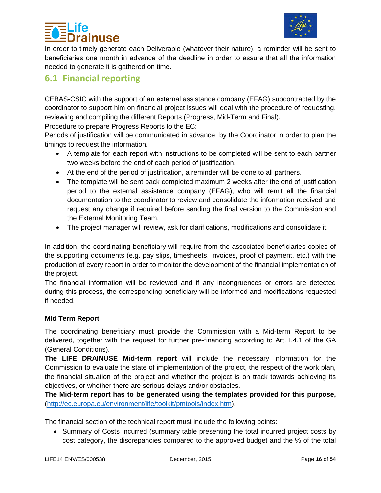

# **iuse**

In order to timely generate each Deliverable (whatever their nature), a reminder will be sent to beneficiaries one month in advance of the deadline in order to assure that all the information needed to generate it is gathered on time.

### <span id="page-15-0"></span>**6.1 Financial reporting**

CEBAS-CSIC with the support of an external assistance company (EFAG) subcontracted by the coordinator to support him on financial project issues will deal with the procedure of requesting, reviewing and compiling the different Reports (Progress, Mid-Term and Final).

Procedure to prepare Progress Reports to the EC:

Periods of justification will be communicated in advance by the Coordinator in order to plan the timings to request the information.

- A template for each report with instructions to be completed will be sent to each partner two weeks before the end of each period of justification.
- At the end of the period of justification, a reminder will be done to all partners.
- The template will be sent back completed maximum 2 weeks after the end of justification period to the external assistance company (EFAG), who will remit all the financial documentation to the coordinator to review and consolidate the information received and request any change if required before sending the final version to the Commission and the External Monitoring Team.
- The project manager will review, ask for clarifications, modifications and consolidate it.

In addition, the coordinating beneficiary will require from the associated beneficiaries copies of the supporting documents (e.g. pay slips, timesheets, invoices, proof of payment, etc.) with the production of every report in order to monitor the development of the financial implementation of the project.

The financial information will be reviewed and if any incongruences or errors are detected during this process, the corresponding beneficiary will be informed and modifications requested if needed.

#### **Mid Term Report**

The coordinating beneficiary must provide the Commission with a Mid-term Report to be delivered, together with the request for further pre-financing according to Art. I.4.1 of the GA (General Conditions).

**The LIFE DRAINUSE Mid-term report** will include the necessary information for the Commission to evaluate the state of implementation of the project, the respect of the work plan, the financial situation of the project and whether the project is on track towards achieving its objectives, or whether there are serious delays and/or obstacles.

**The Mid-term report has to be generated using the templates provided for this purpose,**  [\(http://ec.europa.eu/environment/life/toolkit/pmtools/index.htm\)](http://ec.europa.eu/environment/life/toolkit/pmtools/index.htm).

The financial section of the technical report must include the following points:

• Summary of Costs Incurred (summary table presenting the total incurred project costs by cost category, the discrepancies compared to the approved budget and the % of the total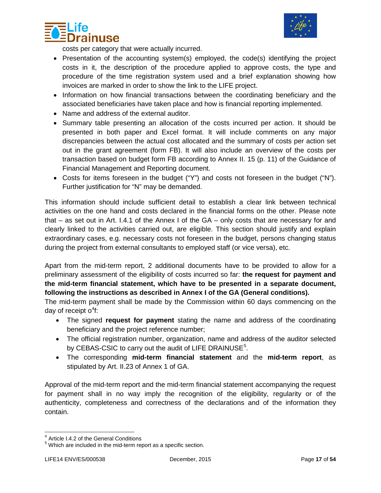



costs per category that were actually incurred.

- Presentation of the accounting system(s) employed, the code(s) identifying the project costs in it, the description of the procedure applied to approve costs, the type and procedure of the time registration system used and a brief explanation showing how invoices are marked in order to show the link to the LIFE project.
- Information on how financial transactions between the coordinating beneficiary and the associated beneficiaries have taken place and how is financial reporting implemented.
- Name and address of the external auditor.
- Summary table presenting an allocation of the costs incurred per action. It should be presented in both paper and Excel format. It will include comments on any major discrepancies between the actual cost allocated and the summary of costs per action set out in the grant agreement (form FB). It will also include an overview of the costs per transaction based on budget form FB according to Annex II. 15 (p. 11) of the Guidance of Financial Management and Reporting document.
- Costs for items foreseen in the budget ("Y") and costs not foreseen in the budget ("N"). Further justification for "N" may be demanded.

This information should include sufficient detail to establish a clear link between technical activities on the one hand and costs declared in the financial forms on the other. Please note that – as set out in Art. I.4.1 of the Annex I of the GA – only costs that are necessary for and clearly linked to the activities carried out, are eligible. This section should justify and explain extraordinary cases, e.g. necessary costs not foreseen in the budget, persons changing status during the project from external consultants to employed staff (or vice versa), etc.

Apart from the mid-term report, 2 additional documents have to be provided to allow for a preliminary assessment of the eligibility of costs incurred so far: **the request for payment and the mid-term financial statement, which have to be presented in a separate document, following the instructions as described in Annex I of the GA (General conditions).** 

The mid-term payment shall be made by the Commission within 60 days commencing on the day of receipt o $4$ f:

- The signed **request for payment** stating the name and address of the coordinating beneficiary and the project reference number;
- The official registration number, organization, name and address of the auditor selected by CEBAS-CSIC to carry out the audit of LIFE DRAINUSE<sup>[5](#page-16-1)</sup>.
- The corresponding **mid-term financial statement** and the **mid-term report**, as stipulated by Art. II.23 of Annex 1 of GA.

Approval of the mid-term report and the mid-term financial statement accompanying the request for payment shall in no way imply the recognition of the eligibility, regularity or of the authenticity, completeness and correctness of the declarations and of the information they contain.

<span id="page-16-1"></span><span id="page-16-0"></span> $<sup>4</sup>$  Article I.4.2 of the General Conditions<br> $<sup>5</sup>$  Which are included in the mid-term report as a specific section.</sup></sup>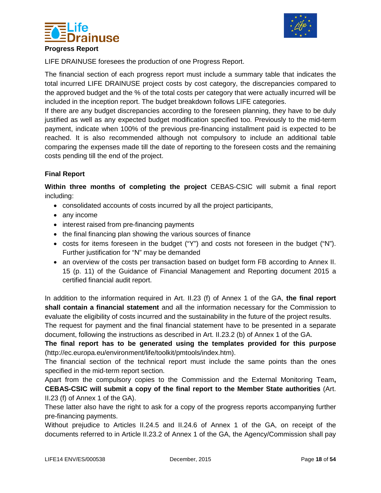



LIFE DRAINUSE foresees the production of one Progress Report.

The financial section of each progress report must include a summary table that indicates the total incurred LIFE DRAINUSE project costs by cost category, the discrepancies compared to the approved budget and the % of the total costs per category that were actually incurred will be included in the inception report. The budget breakdown follows LIFE categories.

If there are any budget discrepancies according to the foreseen planning, they have to be duly justified as well as any expected budget modification specified too. Previously to the mid-term payment, indicate when 100% of the previous pre-financing installment paid is expected to be reached. It is also recommended although not compulsory to include an additional table comparing the expenses made till the date of reporting to the foreseen costs and the remaining costs pending till the end of the project.

#### **Final Report**

**Within three months of completing the project** CEBAS-CSIC will submit a final report including:

- consolidated accounts of costs incurred by all the project participants,
- any income
- interest raised from pre-financing payments
- the final financing plan showing the various sources of finance
- costs for items foreseen in the budget ("Y") and costs not foreseen in the budget ("N"). Further justification for "N" may be demanded
- an overview of the costs per transaction based on budget form FB according to Annex II. 15 (p. 11) of the Guidance of Financial Management and Reporting document 2015 a certified financial audit report.

In addition to the information required in Art. II.23 (f) of Annex 1 of the GA, **the final report shall contain a financial statement** and all the information necessary for the Commission to evaluate the eligibility of costs incurred and the sustainability in the future of the project results.

The request for payment and the final financial statement have to be presented in a separate document, following the instructions as described in Art. II.23.2 (b) of Annex 1 of the GA.

**The final report has to be generated using the templates provided for this purpose**  (http://ec.europa.eu/environment/life/toolkit/pmtools/index.htm).

The financial section of the technical report must include the same points than the ones specified in the mid-term report section.

Apart from the compulsory copies to the Commission and the External Monitoring Team**, CEBAS-CSIC will submit a copy of the final report to the Member State authorities** (Art. II.23 (f) of Annex 1 of the GA).

These latter also have the right to ask for a copy of the progress reports accompanying further pre-financing payments.

Without prejudice to Articles II.24.5 and II.24.6 of Annex 1 of the GA, on receipt of the documents referred to in Article II.23.2 of Annex 1 of the GA, the Agency/Commission shall pay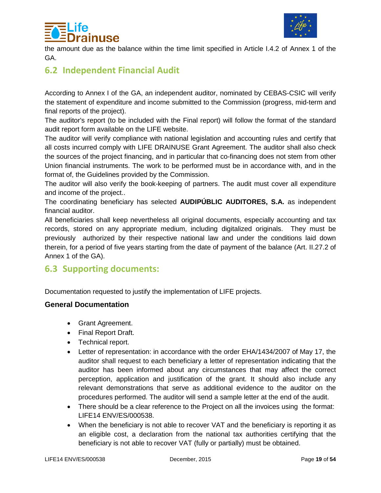



the amount due as the balance within the time limit specified in Article I.4.2 of Annex 1 of the GA.

### <span id="page-18-0"></span>**6.2 Independent Financial Audit**

According to Annex I of the GA, an independent auditor, nominated by CEBAS-CSIC will verify the statement of expenditure and income submitted to the Commission (progress, mid-term and final reports of the project).

The auditor's report (to be included with the Final report) will follow the format of the standard audit report form available on the LIFE website.

The auditor will verify compliance with national legislation and accounting rules and certify that all costs incurred comply with LIFE DRAINUSE Grant Agreement. The auditor shall also check the sources of the project financing, and in particular that co-financing does not stem from other Union financial instruments. The work to be performed must be in accordance with, and in the format of, the Guidelines provided by the Commission.

The auditor will also verify the book-keeping of partners. The audit must cover all expenditure and income of the project..

The coordinating beneficiary has selected **AUDIPÚBLIC AUDITORES, S.A.** as independent financial auditor.

All beneficiaries shall keep nevertheless all original documents, especially accounting and tax records, stored on any appropriate medium, including digitalized originals. They must be previously authorized by their respective national law and under the conditions laid down therein, for a period of five years starting from the date of payment of the balance (Art. II.27.2 of Annex 1 of the GA).

### <span id="page-18-1"></span>**6.3 Supporting documents:**

Documentation requested to justify the implementation of LIFE projects.

#### **General Documentation**

- Grant Agreement.
- Final Report Draft.
- Technical report.
- Letter of representation: in accordance with the order EHA/1434/2007 of May 17, the auditor shall request to each beneficiary a letter of representation indicating that the auditor has been informed about any circumstances that may affect the correct perception, application and justification of the grant. It should also include any relevant demonstrations that serve as additional evidence to the auditor on the procedures performed. The auditor will send a sample letter at the end of the audit.
- There should be a clear reference to the Project on all the invoices using the format: LIFE14 ENV/ES/000538.
- When the beneficiary is not able to recover VAT and the beneficiary is reporting it as an eligible cost, a declaration from the national tax authorities certifying that the beneficiary is not able to recover VAT (fully or partially) must be obtained.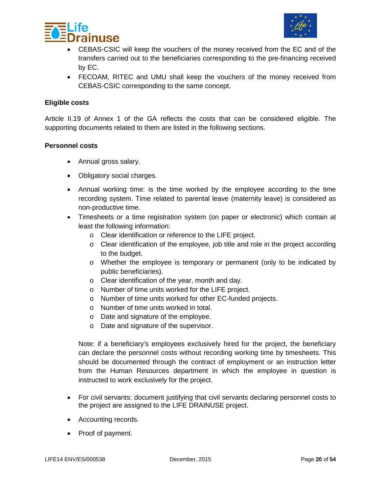



- CEBAS-CSIC will keep the vouchers of the money received from the EC and of the transfers carried out to the beneficiaries corresponding to the pre-financing received by EC.
- FECOAM, RITEC and UMU shall keep the vouchers of the money received from CEBAS-CSIC corresponding to the same concept.

#### **Eligible costs**

Article II.19 of Annex 1 of the GA reflects the costs that can be considered eligible. The supporting documents related to them are listed in the following sections.

#### **Personnel costs**

- Annual gross salary.
- Obligatory social charges.
- Annual working time: is the time worked by the employee according to the time recording system. Time related to parental leave (maternity leave) is considered as non-productive time.
- Timesheets or a time registration system (on paper or electronic) which contain at least the following information:
	- o Clear identification or reference to the LIFE project.
	- o Clear identification of the employee, job title and role in the project according to the budget.
	- o Whether the employee is temporary or permanent (only to be indicated by public beneficiaries).
	- o Clear identification of the year, month and day.
	- o Number of time units worked for the LIFE project.
	- o Number of time units worked for other EC-funded projects.
	- o Number of time units worked in total.
	- o Date and signature of the employee.
	- o Date and signature of the supervisor.

Note: if a beneficiary's employees exclusively hired for the project, the beneficiary can declare the personnel costs without recording working time by timesheets. This should be documented through the contract of employment or an instruction letter from the Human Resources department in which the employee in question is instructed to work exclusively for the project.

- For civil servants: document justifying that civil servants declaring personnel costs to the project are assigned to the LIFE DRAINUSE project.
- Accounting records.
- Proof of payment.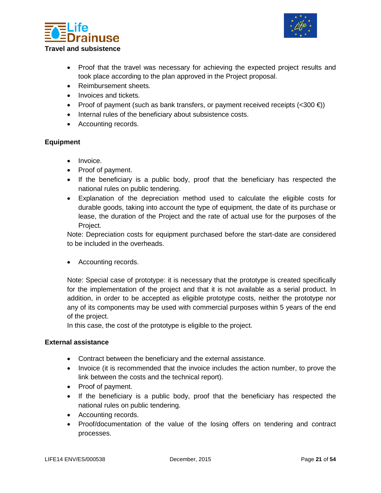



- Proof that the travel was necessary for achieving the expected project results and took place according to the plan approved in the Project proposal.
- Reimbursement sheets.
- Invoices and tickets.
- Proof of payment (such as bank transfers, or payment received receipts  $(<300 \text{ } \text{E})$ )
- Internal rules of the beneficiary about subsistence costs.
- Accounting records.

#### **Equipment**

- Invoice.
- Proof of payment.
- If the beneficiary is a public body, proof that the beneficiary has respected the national rules on public tendering.
- Explanation of the depreciation method used to calculate the eligible costs for durable goods, taking into account the type of equipment, the date of its purchase or lease, the duration of the Project and the rate of actual use for the purposes of the Project.

Note: Depreciation costs for equipment purchased before the start-date are considered to be included in the overheads.

• Accounting records.

Note: Special case of prototype: it is necessary that the prototype is created specifically for the implementation of the project and that it is not available as a serial product. In addition, in order to be accepted as eligible prototype costs, neither the prototype nor any of its components may be used with commercial purposes within 5 years of the end of the project.

In this case, the cost of the prototype is eligible to the project.

#### **External assistance**

- Contract between the beneficiary and the external assistance.
- Invoice (it is recommended that the invoice includes the action number, to prove the link between the costs and the technical report).
- Proof of payment.
- If the beneficiary is a public body, proof that the beneficiary has respected the national rules on public tendering.
- Accounting records.
- Proof/documentation of the value of the losing offers on tendering and contract processes.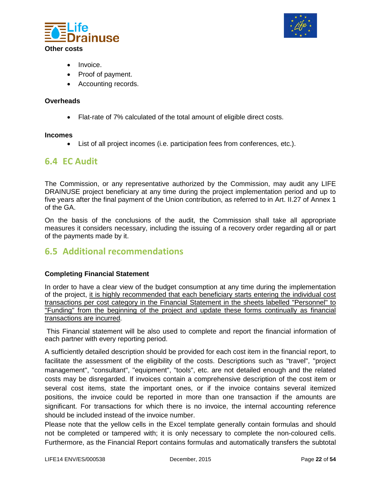



- Invoice.
- Proof of payment.
- Accounting records.

#### **Overheads**

• Flat-rate of 7% calculated of the total amount of eligible direct costs.

#### **Incomes**

• List of all project incomes (i.e. participation fees from conferences, etc.).

#### <span id="page-21-0"></span>**6.4 EC Audit**

The Commission, or any representative authorized by the Commission, may audit any LIFE DRAINUSE project beneficiary at any time during the project implementation period and up to five years after the final payment of the Union contribution, as referred to in Art. II.27 of Annex 1 of the GA.

On the basis of the conclusions of the audit, the Commission shall take all appropriate measures it considers necessary, including the issuing of a recovery order regarding all or part of the payments made by it.

### <span id="page-21-1"></span>**6.5 Additional recommendations**

#### **Completing Financial Statement**

In order to have a clear view of the budget consumption at any time during the implementation of the project, it is highly recommended that each beneficiary starts entering the individual cost transactions per cost category in the Financial Statement in the sheets labelled "Personnel" to "Funding" from the beginning of the project and update these forms continually as financial transactions are incurred.

This Financial statement will be also used to complete and report the financial information of each partner with every reporting period.

A sufficiently detailed description should be provided for each cost item in the financial report, to facilitate the assessment of the eligibility of the costs. Descriptions such as "travel", "project management", "consultant", "equipment", "tools", etc. are not detailed enough and the related costs may be disregarded. If invoices contain a comprehensive description of the cost item or several cost items, state the important ones, or if the invoice contains several itemized positions, the invoice could be reported in more than one transaction if the amounts are significant. For transactions for which there is no invoice, the internal accounting reference should be included instead of the invoice number.

Please note that the yellow cells in the Excel template generally contain formulas and should not be completed or tampered with; it is only necessary to complete the non-coloured cells. Furthermore, as the Financial Report contains formulas and automatically transfers the subtotal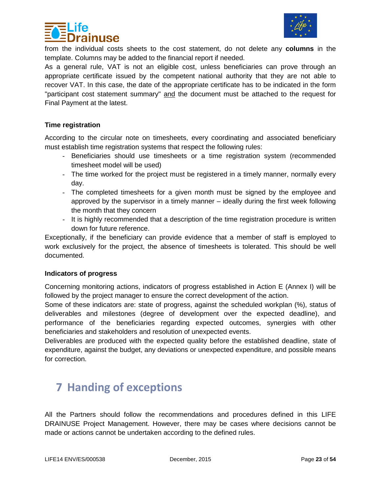



from the individual costs sheets to the cost statement, do not delete any **columns** in the template. Columns may be added to the financial report if needed.

As a general rule, VAT is not an eligible cost, unless beneficiaries can prove through an appropriate certificate issued by the competent national authority that they are not able to recover VAT. In this case, the date of the appropriate certificate has to be indicated in the form "participant cost statement summary" and the document must be attached to the request for Final Payment at the latest.

#### **Time registration**

According to the circular note on timesheets, every coordinating and associated beneficiary must establish time registration systems that respect the following rules:

- Beneficiaries should use timesheets or a time registration system (recommended timesheet model will be used)
- The time worked for the project must be registered in a timely manner, normally every day.
- The completed timesheets for a given month must be signed by the employee and approved by the supervisor in a timely manner – ideally during the first week following the month that they concern
- It is highly recommended that a description of the time registration procedure is written down for future reference.

Exceptionally, if the beneficiary can provide evidence that a member of staff is employed to work exclusively for the project, the absence of timesheets is tolerated. This should be well documented.

#### **Indicators of progress**

Concerning monitoring actions, indicators of progress established in Action E (Annex I) will be followed by the project manager to ensure the correct development of the action.

Some of these indicators are: state of progress, against the scheduled workplan (%), status of deliverables and milestones (degree of development over the expected deadline), and performance of the beneficiaries regarding expected outcomes, synergies with other beneficiaries and stakeholders and resolution of unexpected events.

Deliverables are produced with the expected quality before the established deadline, state of expenditure, against the budget, any deviations or unexpected expenditure, and possible means for correction.

# <span id="page-22-0"></span>**7 Handing of exceptions**

All the Partners should follow the recommendations and procedures defined in this LIFE DRAINUSE Project Management. However, there may be cases where decisions cannot be made or actions cannot be undertaken according to the defined rules.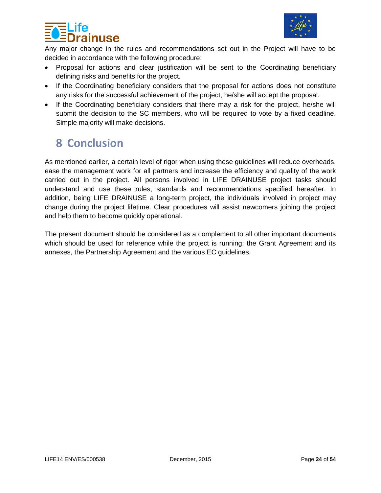



Any major change in the rules and recommendations set out in the Project will have to be decided in accordance with the following procedure:

- Proposal for actions and clear justification will be sent to the Coordinating beneficiary defining risks and benefits for the project.
- If the Coordinating beneficiary considers that the proposal for actions does not constitute any risks for the successful achievement of the project, he/she will accept the proposal.
- If the Coordinating beneficiary considers that there may a risk for the project, he/she will submit the decision to the SC members, who will be required to vote by a fixed deadline. Simple majority will make decisions.

# <span id="page-23-0"></span>**8 Conclusion**

As mentioned earlier, a certain level of rigor when using these guidelines will reduce overheads, ease the management work for all partners and increase the efficiency and quality of the work carried out in the project. All persons involved in LIFE DRAINUSE project tasks should understand and use these rules, standards and recommendations specified hereafter. In addition, being LIFE DRAINUSE a long-term project, the individuals involved in project may change during the project lifetime. Clear procedures will assist newcomers joining the project and help them to become quickly operational.

The present document should be considered as a complement to all other important documents which should be used for reference while the project is running: the Grant Agreement and its annexes, the Partnership Agreement and the various EC guidelines.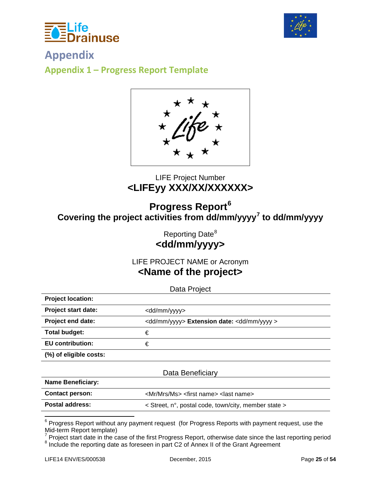



<span id="page-24-1"></span><span id="page-24-0"></span>**Appendix Appendix 1 – Progress Report Template**

### LIFE Project Number **<LIFEyy XXX/XX/XXXXXX>**

# **Progress Report[6](#page-24-2) Covering the project activities from dd/mm/yyyy[7](#page-24-3) to dd/mm/yyyy**

Reporting Date<sup>[8](#page-24-4)</sup> **<dd/mm/yyyy>**

LIFE PROJECT NAME or Acronym **<Name of the project>**

Data Project

| <b>Project location:</b>   |                                                                 |
|----------------------------|-----------------------------------------------------------------|
| <b>Project start date:</b> | <dd mm="" yyyy=""></dd>                                         |
| Project end date:          | <dd mm="" yyyy=""> Extension date: <dd mm="" yyyy=""></dd></dd> |
| Total budget:              | €                                                               |
| <b>EU</b> contribution:    | €                                                               |
| (%) of eligible costs:     |                                                                 |

|                          | Data Beneficiary                                                     |  |
|--------------------------|----------------------------------------------------------------------|--|
| <b>Name Beneficiary:</b> |                                                                      |  |
| <b>Contact person:</b>   | <mr mrs="" ms=""> <first name=""> <last name=""></last></first></mr> |  |
| <b>Postal address:</b>   | $\le$ Street, n°, postal code, town/city, member state $>$           |  |

<span id="page-24-2"></span> $6$  Progress Report without any payment request (for Progress Reports with payment request, use the Mid-term Report template)

<span id="page-24-4"></span><span id="page-24-3"></span>Mid-term Report template)<br><sup>7</sup> Project start date in the case of the first Progress Report, otherwise date since the last reporting period <sup>8</sup> Include the reporting date as foreseen in part C2 of Annex II of the Grant Agreement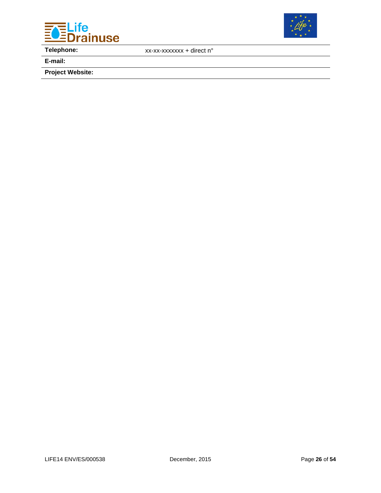



**Telephone:** xx-xx-xxxxxxx + direct n°

**E-mail:**

**Project Website:**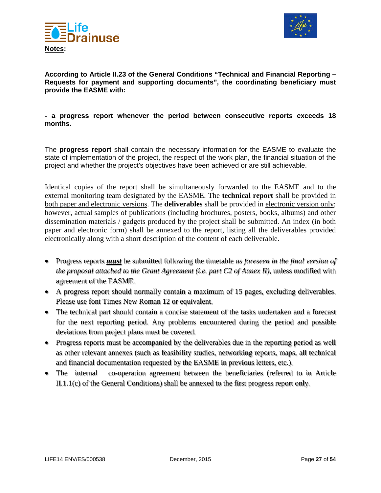



**According to Article II.23 of the General Conditions "Technical and Financial Reporting – Requests for payment and supporting documents", the coordinating beneficiary must provide the EASME with:** 

#### **- a progress report whenever the period between consecutive reports exceeds 18 months.**

The **progress report** shall contain the necessary information for the EASME to evaluate the state of implementation of the project, the respect of the work plan, the financial situation of the project and whether the project's objectives have been achieved or are still achievable.

Identical copies of the report shall be simultaneously forwarded to the EASME and to the external monitoring team designated by the EASME. The **technical report** shall be provided in both paper and electronic versions. The **deliverables** shall be provided in electronic version only; however, actual samples of publications (including brochures, posters, books, albums) and other dissemination materials / gadgets produced by the project shall be submitted. An index (in both paper and electronic form) shall be annexed to the report, listing all the deliverables provided electronically along with a short description of the content of each deliverable.

- Progress reports *must* be submitted following the timetable *as foreseen in the final version of the proposal attached to the Grant Agreement (i.e. part C2 of Annex II)*, unless modified with agreement of the EASME.
- A progress report should normally contain a maximum of 15 pages, excluding deliverables. Please use font Times New Roman 12 or equivalent.
- The technical part should contain a concise statement of the tasks undertaken and a forecast for the next reporting period. Any problems encountered during the period and possible deviations from project plans must be covered.
- Progress reports must be accompanied by the deliverables due in the reporting period as well as other relevant annexes (such as feasibility studies, networking reports, maps, all technical and financial documentation requested by the EASME in previous letters, etc.).
- The internal co-operation agreement between the beneficiaries (referred to in Article II.1.1(c) of the General Conditions) shall be annexed to the first progress report only.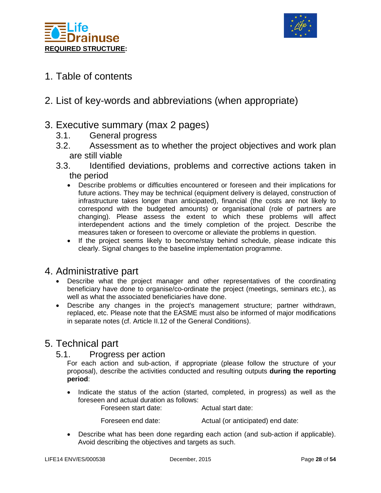



- 1. Table of contents
- 2. List of key-words and abbreviations (when appropriate)

### 3. Executive summary (max 2 pages)

- 3.1. General progress
- 3.2. Assessment as to whether the project objectives and work plan are still viable
- 3.3. Identified deviations, problems and corrective actions taken in the period
	- Describe problems or difficulties encountered or foreseen and their implications for future actions. They may be technical (equipment delivery is delayed, construction of infrastructure takes longer than anticipated), financial (the costs are not likely to correspond with the budgeted amounts) or organisational (role of partners are changing). Please assess the extent to which these problems will affect interdependent actions and the timely completion of the project. Describe the measures taken or foreseen to overcome or alleviate the problems in question.
	- If the project seems likely to become/stay behind schedule, please indicate this clearly. Signal changes to the baseline implementation programme.

### 4. Administrative part

- Describe what the project manager and other representatives of the coordinating beneficiary have done to organise/co-ordinate the project (meetings, seminars etc.), as well as what the associated beneficiaries have done.
- Describe any changes in the project's management structure; partner withdrawn, replaced, etc. Please note that the EASME must also be informed of major modifications in separate notes (cf. Article II.12 of the General Conditions).

### 5. Technical part

5.1. Progress per action

For each action and sub-action, if appropriate (please follow the structure of your proposal), describe the activities conducted and resulting outputs **during the reporting period**:

• Indicate the status of the action (started, completed, in progress) as well as the foreseen and actual duration as follows:

Foreseen start date: Actual start date:

Foreseen end date: Actual (or anticipated) end date:

• Describe what has been done regarding each action (and sub-action if applicable). Avoid describing the objectives and targets as such.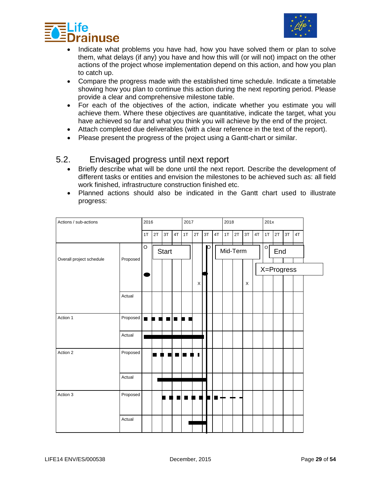



- Indicate what problems you have had, how you have solved them or plan to solve them, what delays (if any) you have and how this will (or will not) impact on the other actions of the project whose implementation depend on this action, and how you plan to catch up.
- Compare the progress made with the established time schedule. Indicate a timetable showing how you plan to continue this action during the next reporting period. Please provide a clear and comprehensive milestone table.
- For each of the objectives of the action, indicate whether you estimate you will achieve them. Where these objectives are quantitative, indicate the target, what you have achieved so far and what you think you will achieve by the end of the project.
- Attach completed due deliverables (with a clear reference in the text of the report).
- Please present the progress of the project using a Gantt-chart or similar.

#### 5.2. Envisaged progress until next report

- Briefly describe what will be done until the next report. Describe the development of different tasks or entities and envision the milestones to be achieved such as: all field work finished, infrastructure construction finished etc.
- Planned actions should also be indicated in the Gantt chart used to illustrate progress:

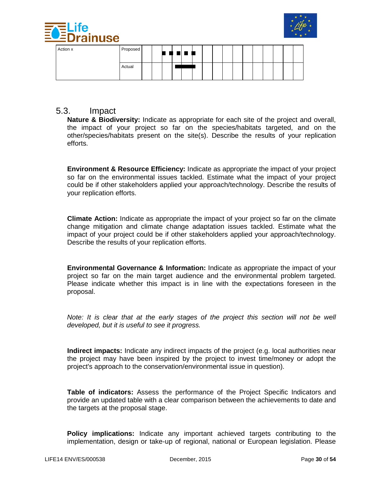



| Action x | Proposed |  |  | , , , , , , |  |  |  |  |  |  |
|----------|----------|--|--|-------------|--|--|--|--|--|--|
|          | Actual   |  |  |             |  |  |  |  |  |  |

#### 5.3. Impact

**Nature & Biodiversity:** Indicate as appropriate for each site of the project and overall, the impact of your project so far on the species/habitats targeted, and on the other/species/habitats present on the site(s). Describe the results of your replication efforts.

**Environment & Resource Efficiency:** Indicate as appropriate the impact of your project so far on the environmental issues tackled. Estimate what the impact of your project could be if other stakeholders applied your approach/technology. Describe the results of your replication efforts.

**Climate Action:** Indicate as appropriate the impact of your project so far on the climate change mitigation and climate change adaptation issues tackled. Estimate what the impact of your project could be if other stakeholders applied your approach/technology. Describe the results of your replication efforts.

**Environmental Governance & Information:** Indicate as appropriate the impact of your project so far on the main target audience and the environmental problem targeted. Please indicate whether this impact is in line with the expectations foreseen in the proposal.

*Note: It is clear that at the early stages of the project this section will not be well developed, but it is useful to see it progress.*

**Indirect impacts:** Indicate any indirect impacts of the project (e.g. local authorities near the project may have been inspired by the project to invest time/money or adopt the project's approach to the conservation/environmental issue in question).

**Table of indicators:** Assess the performance of the Project Specific Indicators and provide an updated table with a clear comparison between the achievements to date and the targets at the proposal stage.

**Policy implications:** Indicate any important achieved targets contributing to the implementation, design or take-up of regional, national or European legislation. Please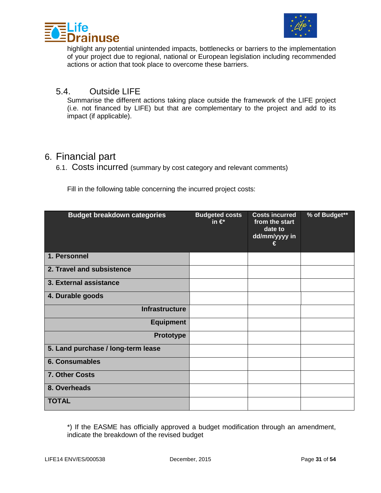



highlight any potential unintended impacts, bottlenecks or barriers to the implementation of your project due to regional, national or European legislation including recommended actions or action that took place to overcome these barriers.

### 5.4. Outside LIFE

Summarise the different actions taking place outside the framework of the LIFE project (i.e. not financed by LIFE) but that are complementary to the project and add to its impact (if applicable).

### 6. Financial part

6.1. Costs incurred (summary by cost category and relevant comments)

Fill in the following table concerning the incurred project costs:

| <b>Budget breakdown categories</b> | <b>Budgeted costs</b><br>in $\in$ | <b>Costs incurred</b><br>from the start<br>date to<br>dd/mm/yyyy in<br>€ | % of Budget** |
|------------------------------------|-----------------------------------|--------------------------------------------------------------------------|---------------|
| 1. Personnel                       |                                   |                                                                          |               |
| 2. Travel and subsistence          |                                   |                                                                          |               |
| 3. External assistance             |                                   |                                                                          |               |
| 4. Durable goods                   |                                   |                                                                          |               |
| <b>Infrastructure</b>              |                                   |                                                                          |               |
| <b>Equipment</b>                   |                                   |                                                                          |               |
| <b>Prototype</b>                   |                                   |                                                                          |               |
| 5. Land purchase / long-term lease |                                   |                                                                          |               |
| <b>6. Consumables</b>              |                                   |                                                                          |               |
| 7. Other Costs                     |                                   |                                                                          |               |
| 8. Overheads                       |                                   |                                                                          |               |
| <b>TOTAL</b>                       |                                   |                                                                          |               |

\*) If the EASME has officially approved a budget modification through an amendment, indicate the breakdown of the revised budget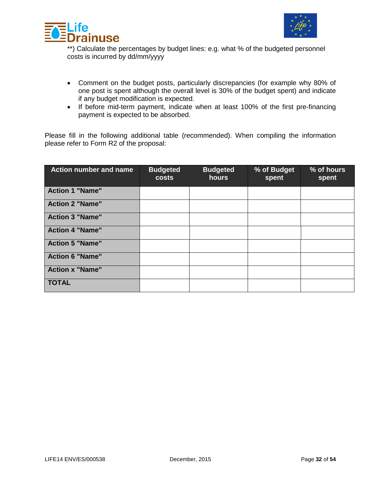



\*\*) Calculate the percentages by budget lines: e.g. what % of the budgeted personnel costs is incurred by dd/mm/yyyy

- Comment on the budget posts, particularly discrepancies (for example why 80% of one post is spent although the overall level is 30% of the budget spent) and indicate if any budget modification is expected.
- If before mid-term payment, indicate when at least 100% of the first pre-financing payment is expected to be absorbed.

Please fill in the following additional table (recommended). When compiling the information please refer to Form R2 of the proposal:

| <b>Action number and name</b> | <b>Budgeted</b><br><b>costs</b> | <b>Budgeted</b><br>hours | % of Budget<br>spent | % of hours<br>spent |
|-------------------------------|---------------------------------|--------------------------|----------------------|---------------------|
| <b>Action 1 "Name"</b>        |                                 |                          |                      |                     |
| <b>Action 2 "Name"</b>        |                                 |                          |                      |                     |
| <b>Action 3 "Name"</b>        |                                 |                          |                      |                     |
| <b>Action 4 "Name"</b>        |                                 |                          |                      |                     |
| <b>Action 5 "Name"</b>        |                                 |                          |                      |                     |
| <b>Action 6 "Name"</b>        |                                 |                          |                      |                     |
| <b>Action x "Name"</b>        |                                 |                          |                      |                     |
| <b>TOTAL</b>                  |                                 |                          |                      |                     |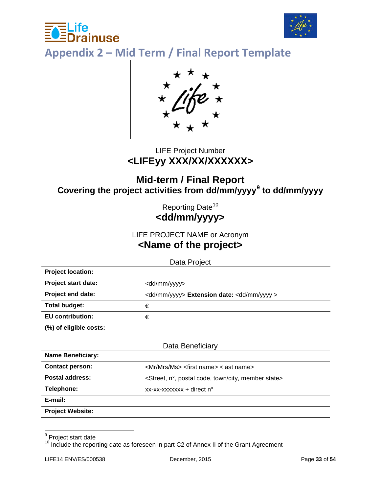



<span id="page-32-0"></span>**Appendix 2 – Mid Term / Final Report Template**



### LIFE Project Number **<LIFEyy XXX/XX/XXXXXX>**

### **Mid-term / Final Report Covering the project activities from dd/mm/yyyy[9](#page-32-1) to dd/mm/yyyy**

Reporting Date<sup>[10](#page-32-2)</sup> **<dd/mm/yyyy>**

### LIFE PROJECT NAME or Acronym

### **<Name of the project>**

Data Project

| <b>Project location:</b>                              |                                                                 |
|-------------------------------------------------------|-----------------------------------------------------------------|
| <b>Project start date:</b><br><dd mm="" yyyy=""></dd> |                                                                 |
| Project end date:                                     | <dd mm="" yyyy=""> Extension date: <dd mm="" yyyy=""></dd></dd> |
| <b>Total budget:</b><br>€                             |                                                                 |
| <b>EU</b> contribution:<br>€                          |                                                                 |
| (%) of eligible costs:                                |                                                                 |

| Data Beneficiary         |                                                                                   |  |  |  |  |
|--------------------------|-----------------------------------------------------------------------------------|--|--|--|--|
| <b>Name Beneficiary:</b> |                                                                                   |  |  |  |  |
| <b>Contact person:</b>   | <mr mrs="" ms=""> <first name=""> <last name=""></last></first></mr>              |  |  |  |  |
| Postal address:          | <street, city,="" code,="" member="" n°,="" postal="" state="" town=""></street,> |  |  |  |  |
| Telephone:               | xx-xx-xxxxxxx + direct n°                                                         |  |  |  |  |
| E-mail:                  |                                                                                   |  |  |  |  |
| <b>Project Website:</b>  |                                                                                   |  |  |  |  |

<span id="page-32-1"></span><sup>&</sup>lt;sup>9</sup> Project start date

<span id="page-32-2"></span><sup>&</sup>lt;sup>11</sup> Include the reporting date as foreseen in part C2 of Annex II of the Grant Agreement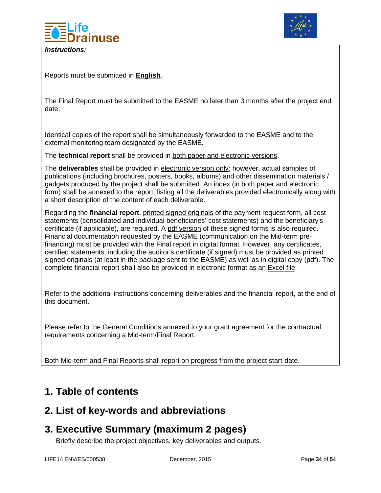

*Instructions:*



Reports must be submitted in **English**.

The Final Report must be submitted to the EASME no later than 3 months after the project end date.

Identical copies of the report shall be simultaneously forwarded to the EASME and to the external monitoring team designated by the EASME.

The **technical report** shall be provided in both paper and electronic versions.

The **deliverables** shall be provided in electronic version only; however, actual samples of publications (including brochures, posters, books, albums) and other dissemination materials / gadgets produced by the project shall be submitted. An index (in both paper and electronic form) shall be annexed to the report, listing all the deliverables provided electronically along with a short description of the content of each deliverable.

Regarding the **financial report**, printed signed originals of the payment request form, all cost statements (consolidated and individual beneficiaries' cost statements) and the beneficiary's certificate (if applicable), are required. A pdf version of these signed forms is also required. Financial documentation requested by the EASME (communication on the Mid-term prefinancing) must be provided with the Final report in digital format. However, any certificates, certified statements, including the auditor's certificate (if signed) must be provided as printed signed originals (at least in the package sent to the EASME) as well as in digital copy (pdf). The complete financial report shall also be provided in electronic format as an Excel file.

Refer to the additional instructions concerning deliverables and the financial report, at the end of this document.

Please refer to the General Conditions annexed to your grant agreement for the contractual requirements concerning a Mid-term/Final Report.

Both Mid-term and Final Reports shall report on progress from the project start-date.

### <span id="page-33-0"></span>**1. Table of contents**

### <span id="page-33-1"></span>**2. List of key-words and abbreviations**

### <span id="page-33-2"></span>**3. Executive Summary (maximum 2 pages)**

Briefly describe the project objectives, key deliverables and outputs.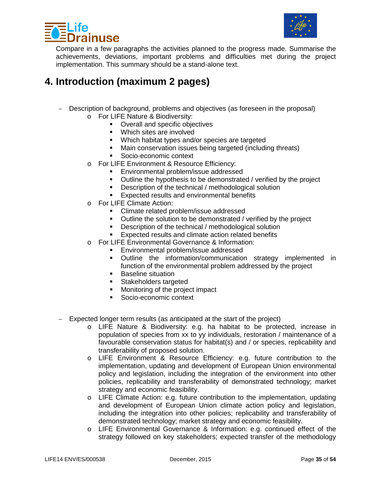



Compare in a few paragraphs the activities planned to the progress made. Summarise the achievements, deviations, important problems and difficulties met during the project implementation. This summary should be a stand-alone text.

### <span id="page-34-0"></span>**4. Introduction (maximum 2 pages)**

- − Description of background, problems and objectives (as foreseen in the proposal)
	- o For LIFE Nature & Biodiversity:
		- Overall and specific objectives
		- **Which sites are involved**
		- **Which habitat types and/or species are targeted**
		- Main conservation issues being targeted (including threats)
		- Socio-economic context
	- o For LIFE Environment & Resource Efficiency:
		- **Environmental problem/issue addressed**
		- Outline the hypothesis to be demonstrated / verified by the project
		- Description of the technical / methodological solution<br>Expected results and environmental benefits
		- Expected results and environmental benefits
	- o For LIFE Climate Action:
		- **EXECLIME Climate related problem/issue addressed**
		- Outline the solution to be demonstrated / verified by the project
		- Description of the technical / methodological solution
		- Expected results and climate action related benefits
	- o For LIFE Environmental Governance & Information:
		- **Environmental problem/issue addressed**
		- Outline the information/communication strategy implemented in function of the environmental problem addressed by the project
		- **Baseline situation**
		- **Stakeholders targeted**
		- Monitoring of the project impact<br>• Socio-economic context
		- Socio-economic context
- − Expected longer term results (as anticipated at the start of the project)
	- o LIFE Nature & Biodiversity: e.g. ha habitat to be protected, increase in population of species from xx to yy individuals, restoration / maintenance of a favourable conservation status for habitat(s) and / or species, replicability and transferability of proposed solution.
	- o LIFE Environment & Resource Efficiency: e.g. future contribution to the implementation, updating and development of European Union environmental policy and legislation, including the integration of the environment into other policies, replicability and transferability of demonstrated technology; market strategy and economic feasibility.
	- o LIFE Climate Action: e.g. future contribution to the implementation, updating and development of European Union climate action policy and legislation, including the integration into other policies; replicability and transferability of demonstrated technology; market strategy and economic feasibility.
	- o LIFE Environmental Governance & Information: e.g. continued effect of the strategy followed on key stakeholders; expected transfer of the methodology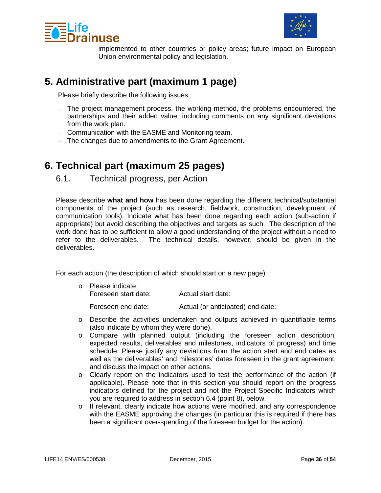



implemented to other countries or policy areas; future impact on European Union environmental policy and legislation.

### <span id="page-35-0"></span>**5. Administrative part (maximum 1 page)**

Please briefly describe the following issues:

- − The project management process, the working method, the problems encountered, the partnerships and their added value, including comments on any significant deviations from the work plan.
- − Communication with the EASME and Monitoring team.
- − The changes due to amendments to the Grant Agreement.

### <span id="page-35-1"></span>**6. Technical part (maximum 25 pages)**

6.1. Technical progress, per Action

Please describe **what and how** has been done regarding the different technical/substantial components of the project (such as research, fieldwork, construction, development of communication tools). Indicate what has been done regarding each action (sub-action if appropriate) but avoid describing the objectives and targets as such. The description of the work done has to be sufficient to allow a good understanding of the project without a need to refer to the deliverables. The technical details, however, should be given in the deliverables.

For each action (the description of which should start on a new page):

| o Please indicate:<br>Foreseen start date: | Actual start date:                |
|--------------------------------------------|-----------------------------------|
| Foreseen end date:                         | Actual (or anticipated) end date: |

- o Describe the activities undertaken and outputs achieved in quantifiable terms (also indicate by whom they were done).
- o Compare with planned output (including the foreseen action description, expected results, deliverables and milestones, indicators of progress) and time schedule. Please justify any deviations from the action start and end dates as well as the deliverables' and milestones' dates foreseen in the grant agreement, and discuss the impact on other actions.
- o Clearly report on the indicators used to test the performance of the action (if applicable). Please note that in this section you should report on the progress indicators defined for the project and not the Project Specific Indicators which you are required to address in section 6.4 (point 8), below.
- $\circ$  If relevant, clearly indicate how actions were modified, and any correspondence with the EASME approving the changes (in particular this is required if there has been a significant over-spending of the foreseen budget for the action).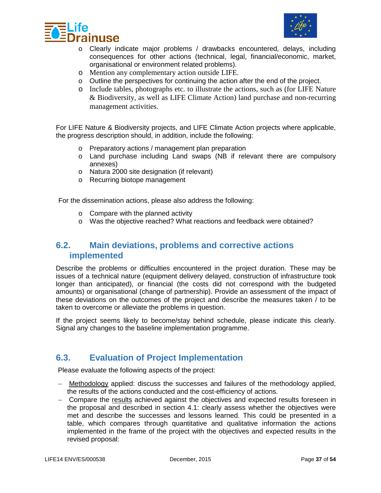



- o Clearly indicate major problems / drawbacks encountered, delays, including consequences for other actions (technical, legal, financial/economic, market, organisational or environment related problems).
- o Mention any complementary action outside LIFE.
- $\circ$  Outline the perspectives for continuing the action after the end of the project.
- o Include tables, photographs etc. to illustrate the actions, such as (for LIFE Nature & Biodiversity, as well as LIFE Climate Action) land purchase and non-recurring management activities.

For LIFE Nature & Biodiversity projects, and LIFE Climate Action projects where applicable, the progress description should, in addition, include the following:

- o Preparatory actions / management plan preparation
- o Land purchase including Land swaps (NB if relevant there are compulsory annexes)
- o Natura 2000 site designation (if relevant)
- o Recurring biotope management

For the dissemination actions, please also address the following:

- o Compare with the planned activity
- o Was the objective reached? What reactions and feedback were obtained?

### <span id="page-36-0"></span>**6.2. Main deviations, problems and corrective actions implemented**

Describe the problems or difficulties encountered in the project duration. These may be issues of a technical nature (equipment delivery delayed, construction of infrastructure took longer than anticipated), or financial (the costs did not correspond with the budgeted amounts) or organisational (change of partnership). Provide an assessment of the impact of these deviations on the outcomes of the project and describe the measures taken / to be taken to overcome or alleviate the problems in question.

If the project seems likely to become/stay behind schedule, please indicate this clearly. Signal any changes to the baseline implementation programme.

### <span id="page-36-1"></span>**6.3. Evaluation of Project Implementation**

Please evaluate the following aspects of the project:

- − Methodology applied: discuss the successes and failures of the methodology applied, the results of the actions conducted and the cost-efficiency of actions.
- − Compare the results achieved against the objectives and expected results foreseen in the proposal and described in section 4.1: clearly assess whether the objectives were met and describe the successes and lessons learned. This could be presented in a table, which compares through quantitative and qualitative information the actions implemented in the frame of the project with the objectives and expected results in the revised proposal: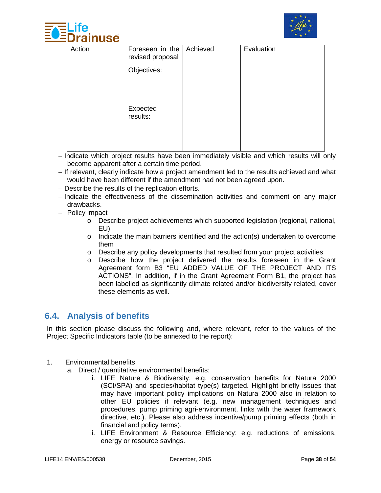



| Action | Foreseen in the   Achieved<br>revised proposal | Evaluation |
|--------|------------------------------------------------|------------|
|        | Objectives:                                    |            |
|        | Expected<br>results:                           |            |

- − Indicate which project results have been immediately visible and which results will only become apparent after a certain time period.
- − If relevant, clearly indicate how a project amendment led to the results achieved and what would have been different if the amendment had not been agreed upon.
- − Describe the results of the replication efforts.
- − Indicate the effectiveness of the dissemination activities and comment on any major drawbacks.
- − Policy impact
	- o Describe project achievements which supported legislation (regional, national, EU)
	- o Indicate the main barriers identified and the action(s) undertaken to overcome them
	- $\circ$  Describe any policy developments that resulted from your project activities
	- o Describe how the project delivered the results foreseen in the Grant Agreement form B3 "EU ADDED VALUE OF THE PROJECT AND ITS ACTIONS". In addition, if in the Grant Agreement Form B1, the project has been labelled as significantly climate related and/or biodiversity related, cover these elements as well.

### <span id="page-37-0"></span>**6.4. Analysis of benefits**

In this section please discuss the following and, where relevant, refer to the values of the Project Specific Indicators table (to be annexed to the report):

- 1. Environmental benefits
	- a. Direct / quantitative environmental benefits:
		- i. LIFE Nature & Biodiversity: e.g. conservation benefits for Natura 2000 (SCI/SPA) and species/habitat type(s) targeted. Highlight briefly issues that may have important policy implications on Natura 2000 also in relation to other EU policies if relevant (e.g. new management techniques and procedures, pump priming agri-environment, links with the water framework directive, etc.). Please also address incentive/pump priming effects (both in financial and policy terms).
		- ii. LIFE Environment & Resource Efficiency: e.g. reductions of emissions, energy or resource savings.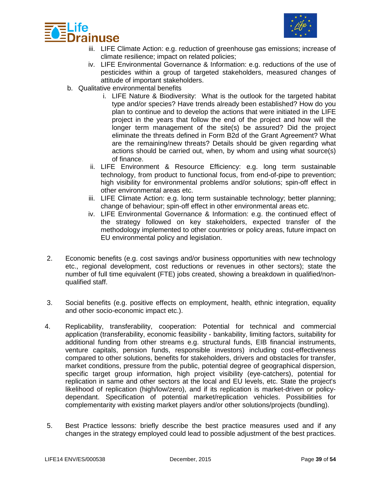



- iii. LIFE Climate Action: e.g. reduction of greenhouse gas emissions; increase of climate resilience; impact on related policies;
- iv. LIFE Environmental Governance & Information: e.g. reductions of the use of pesticides within a group of targeted stakeholders, measured changes of attitude of important stakeholders.
- b. Qualitative environmental benefits
	- i. LIFE Nature & Biodiversity: What is the outlook for the targeted habitat type and/or species? Have trends already been established? How do you plan to continue and to develop the actions that were initiated in the LIFE project in the years that follow the end of the project and how will the longer term management of the site(s) be assured? Did the project eliminate the threats defined in Form B2d of the Grant Agreement? What are the remaining/new threats? Details should be given regarding what actions should be carried out, when, by whom and using what source(s) of finance.
	- ii. LIFE Environment & Resource Efficiency: e.g. long term sustainable technology, from product to functional focus, from end-of-pipe to prevention; high visibility for environmental problems and/or solutions; spin-off effect in other environmental areas etc.
	- iii. LIFE Climate Action: e.g. long term sustainable technology; better planning; change of behaviour; spin-off effect in other environmental areas etc.
	- iv. LIFE Environmental Governance & Information: e.g. the continued effect of the strategy followed on key stakeholders, expected transfer of the methodology implemented to other countries or policy areas, future impact on EU environmental policy and legislation.
- 2. Economic benefits (e.g. cost savings and/or business opportunities with new technology etc., regional development, cost reductions or revenues in other sectors); state the number of full time equivalent (FTE) jobs created, showing a breakdown in qualified/nonqualified staff.
- 3. Social benefits (e.g. positive effects on employment, health, ethnic integration, equality and other socio-economic impact etc.).
- 4. Replicability, transferability, cooperation: Potential for technical and commercial application (transferability, economic feasibility - bankability, limiting factors, suitability for additional funding from other streams e.g. structural funds, EIB financial instruments, venture capitals, pension funds, responsible investors) including cost-effectiveness compared to other solutions, benefits for stakeholders, drivers and obstacles for transfer, market conditions, pressure from the public, potential degree of geographical dispersion, specific target group information, high project visibility (eye-catchers), potential for replication in same and other sectors at the local and EU levels, etc. State the project's likelihood of replication (high/low/zero), and if its replication is market-driven or policydependant. Specification of potential market/replication vehicles. Possibilities for complementarity with existing market players and/or other solutions/projects (bundling).
- 5. Best Practice lessons: briefly describe the best practice measures used and if any changes in the strategy employed could lead to possible adjustment of the best practices.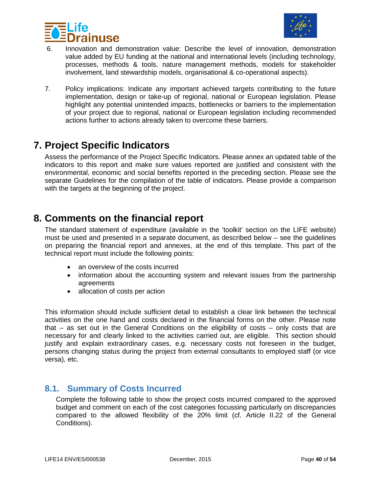



- 6. Innovation and demonstration value: Describe the level of innovation, demonstration value added by EU funding at the national and international levels (including technology, processes, methods & tools, nature management methods, models for stakeholder involvement, land stewardship models, organisational & co-operational aspects).
- 7. Policy implications: Indicate any important achieved targets contributing to the future implementation, design or take-up of regional, national or European legislation. Please highlight any potential unintended impacts, bottlenecks or barriers to the implementation of your project due to regional, national or European legislation including recommended actions further to actions already taken to overcome these barriers.

### <span id="page-39-0"></span>**7. Project Specific Indicators**

Assess the performance of the Project Specific Indicators. Please annex an updated table of the indicators to this report and make sure values reported are justified and consistent with the environmental, economic and social benefits reported in the preceding section. Please see the separate Guidelines for the compilation of the table of indicators. Please provide a comparison with the targets at the beginning of the project.

### <span id="page-39-1"></span>**8. Comments on the financial report**

The standard statement of expenditure (available in the 'toolkit' section on the LIFE website) must be used and presented in a separate document, as described below – see the guidelines on preparing the financial report and annexes, at the end of this template. This part of the technical report must include the following points:

- an overview of the costs incurred
- information about the accounting system and relevant issues from the partnership agreements
- allocation of costs per action

This information should include sufficient detail to establish a clear link between the technical activities on the one hand and costs declared in the financial forms on the other. Please note that – as set out in the General Conditions on the eligibility of costs – only costs that are necessary for and clearly linked to the activities carried out, are eligible. This section should justify and explain extraordinary cases, e.g. necessary costs not foreseen in the budget, persons changing status during the project from external consultants to employed staff (or vice versa), etc.

#### <span id="page-39-2"></span>**8.1. Summary of Costs Incurred**

Complete the following table to show the project costs incurred compared to the approved budget and comment on each of the cost categories focussing particularly on discrepancies compared to the allowed flexibility of the 20% limit (cf. Article II.22 of the General Conditions).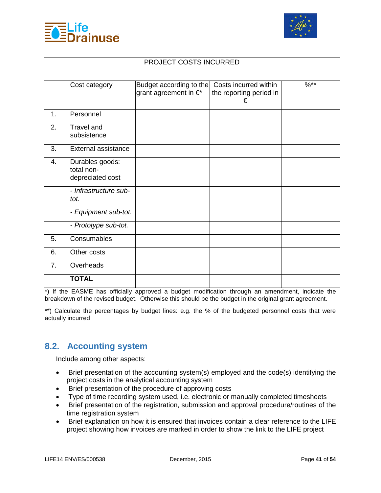



|                |                                                   | PROJECT COSTS INCURRED                           |                              |               |
|----------------|---------------------------------------------------|--------------------------------------------------|------------------------------|---------------|
|                |                                                   |                                                  | Costs incurred within        | $\sqrt{0***}$ |
|                | Cost category                                     | Budget according to the<br>grant agreement in €* | the reporting period in<br>€ |               |
| 1.             | Personnel                                         |                                                  |                              |               |
| 2.             | <b>Travel and</b><br>subsistence                  |                                                  |                              |               |
| 3.             | External assistance                               |                                                  |                              |               |
| 4.             | Durables goods:<br>total non-<br>depreciated cost |                                                  |                              |               |
|                | - Infrastructure sub-<br>tot.                     |                                                  |                              |               |
|                | - Equipment sub-tot.                              |                                                  |                              |               |
|                | - Prototype sub-tot.                              |                                                  |                              |               |
| 5.             | Consumables                                       |                                                  |                              |               |
| 6.             | Other costs                                       |                                                  |                              |               |
| 7 <sub>1</sub> | Overheads                                         |                                                  |                              |               |
|                | <b>TOTAL</b>                                      |                                                  |                              |               |

\*) If the EASME has officially approved a budget modification through an amendment, indicate the breakdown of the revised budget. Otherwise this should be the budget in the original grant agreement.

\*\*) Calculate the percentages by budget lines: e.g. the % of the budgeted personnel costs that were actually incurred

### <span id="page-40-0"></span>**8.2. Accounting system**

Include among other aspects:

- Brief presentation of the accounting system(s) employed and the code(s) identifying the project costs in the analytical accounting system
- Brief presentation of the procedure of approving costs
- Type of time recording system used, i.e. electronic or manually completed timesheets
- Brief presentation of the registration, submission and approval procedure/routines of the time registration system
- Brief explanation on how it is ensured that invoices contain a clear reference to the LIFE project showing how invoices are marked in order to show the link to the LIFE project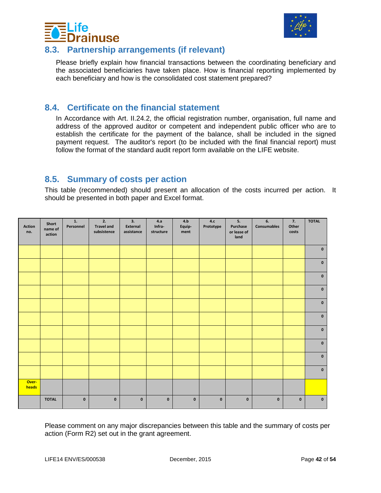



### <span id="page-41-0"></span>**8.3. Partnership arrangements (if relevant)**

Please briefly explain how financial transactions between the coordinating beneficiary and the associated beneficiaries have taken place. How is financial reporting implemented by each beneficiary and how is the consolidated cost statement prepared?

### <span id="page-41-1"></span>**8.4. Certificate on the financial statement**

In Accordance with Art. II.24.2, the official registration number, organisation, full name and address of the approved auditor or competent and independent public officer who are to establish the certificate for the payment of the balance, shall be included in the signed payment request. The auditor's report (to be included with the final financial report) must follow the format of the standard audit report form available on the LIFE website.

### <span id="page-41-2"></span>**8.5. Summary of costs per action**

This table (recommended) should present an allocation of the costs incurred per action. It should be presented in both paper and Excel format.

| <b>Action</b><br>no. | Short<br>name of<br>action | 1.<br>Personnel | 2.<br><b>Travel and</b><br>subsistence | 3.<br>External<br>assistance | 4.a<br>Infra-<br>structure | 4.b<br>Equip-<br>ment | $\mathbf{4}.\mathbf{c}$<br>Prototype | 5.<br>Purchase<br>or lease of<br>land | 6.<br>Consumables | 7.<br>Other<br>costs | <b>TOTAL</b> |
|----------------------|----------------------------|-----------------|----------------------------------------|------------------------------|----------------------------|-----------------------|--------------------------------------|---------------------------------------|-------------------|----------------------|--------------|
|                      |                            |                 |                                        |                              |                            |                       |                                      |                                       |                   |                      | $\mathbf 0$  |
|                      |                            |                 |                                        |                              |                            |                       |                                      |                                       |                   |                      | $\pmb{0}$    |
|                      |                            |                 |                                        |                              |                            |                       |                                      |                                       |                   |                      | $\mathbf 0$  |
|                      |                            |                 |                                        |                              |                            |                       |                                      |                                       |                   |                      | $\pmb{0}$    |
|                      |                            |                 |                                        |                              |                            |                       |                                      |                                       |                   |                      | $\mathbf 0$  |
|                      |                            |                 |                                        |                              |                            |                       |                                      |                                       |                   |                      | $\mathbf 0$  |
|                      |                            |                 |                                        |                              |                            |                       |                                      |                                       |                   |                      | $\mathbf 0$  |
|                      |                            |                 |                                        |                              |                            |                       |                                      |                                       |                   |                      | $\mathbf 0$  |
|                      |                            |                 |                                        |                              |                            |                       |                                      |                                       |                   |                      | $\mathbf 0$  |
|                      |                            |                 |                                        |                              |                            |                       |                                      |                                       |                   |                      | $\mathbf 0$  |
| Over-<br>heads       |                            |                 |                                        |                              |                            |                       |                                      |                                       |                   |                      |              |
|                      | <b>TOTAL</b>               | $\mathbf 0$     | $\mathbf 0$                            | $\mathbf 0$                  | $\pmb{\mathsf{o}}$         | $\pmb{0}$             | $\pmb{\mathsf{o}}$                   | $\mathbf 0$                           | $\mathbf 0$       | $\mathbf 0$          | $\mathbf 0$  |

Please comment on any major discrepancies between this table and the summary of costs per action (Form R2) set out in the grant agreement.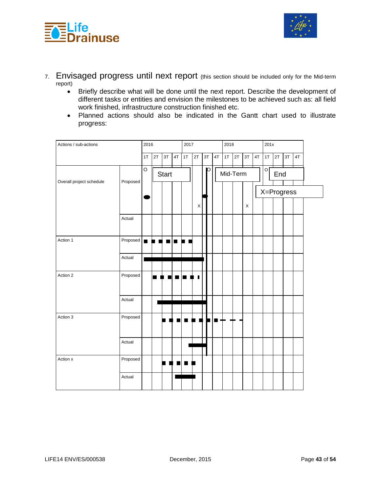



- 7. Envisaged progress until next report (this section should be included only for the Mid-term report)
	- Briefly describe what will be done until the next report. Describe the development of different tasks or entities and envision the milestones to be achieved such as: all field work finished, infrastructure construction finished etc.
	- Planned actions should also be indicated in the Gantt chart used to illustrate progress:

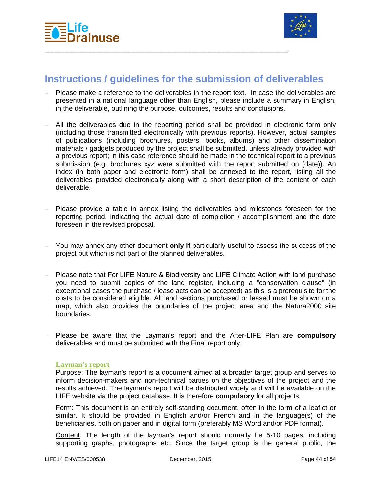



### <span id="page-43-0"></span>**Instructions / guidelines for the submission of deliverables**

\_\_\_\_\_\_\_\_\_\_\_\_\_\_\_\_\_\_\_\_\_\_\_\_\_\_\_\_\_\_\_\_\_\_\_\_\_\_\_\_\_\_\_\_\_\_\_\_\_\_\_\_\_\_\_\_\_\_\_\_\_\_\_\_

- − Please make a reference to the deliverables in the report text. In case the deliverables are presented in a national language other than English, please include a summary in English, in the deliverable, outlining the purpose, outcomes, results and conclusions.
- − All the deliverables due in the reporting period shall be provided in electronic form only (including those transmitted electronically with previous reports). However, actual samples of publications (including brochures, posters, books, albums) and other dissemination materials / gadgets produced by the project shall be submitted, unless already provided with a previous report; in this case reference should be made in the technical report to a previous submission (e.g. brochures xyz were submitted with the report submitted on (date)). An index (in both paper and electronic form) shall be annexed to the report, listing all the deliverables provided electronically along with a short description of the content of each deliverable.
- − Please provide a table in annex listing the deliverables and milestones foreseen for the reporting period, indicating the actual date of completion / accomplishment and the date foreseen in the revised proposal.
- − You may annex any other document **only if** particularly useful to assess the success of the project but which is not part of the planned deliverables.
- Please note that For LIFE Nature & Biodiversity and LIFE Climate Action with land purchase you need to submit copies of the land register, including a "conservation clause" (in exceptional cases the purchase / lease acts can be accepted) as this is a prerequisite for the costs to be considered eligible. All land sections purchased or leased must be shown on a map, which also provides the boundaries of the project area and the Natura2000 site boundaries.
- − Please be aware that the Layman's report and the After-LIFE Plan are **compulsory** deliverables and must be submitted with the Final report only:

#### <span id="page-43-1"></span>**Layman's report**

Purpose: The layman's report is a document aimed at a broader target group and serves to inform decision-makers and non-technical parties on the objectives of the project and the results achieved. The layman's report will be distributed widely and will be available on the LIFE website via the project database. It is therefore **compulsory** for all projects.

Form: This document is an entirely self-standing document, often in the form of a leaflet or similar. It should be provided in English and/or French and in the language(s) of the beneficiaries, both on paper and in digital form (preferably MS Word and/or PDF format).

Content: The length of the layman's report should normally be 5-10 pages, including supporting graphs, photographs etc. Since the target group is the general public, the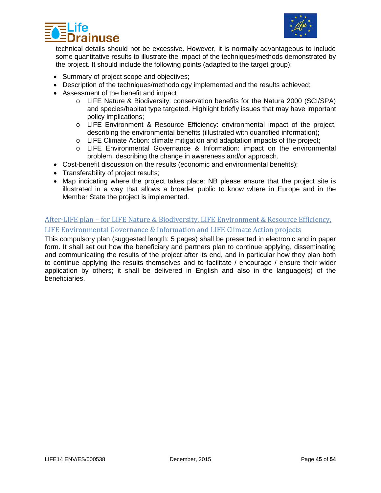



technical details should not be excessive. However, it is normally advantageous to include some quantitative results to illustrate the impact of the techniques/methods demonstrated by the project. It should include the following points (adapted to the target group):

- Summary of project scope and objectives;
- Description of the techniques/methodology implemented and the results achieved;
- Assessment of the benefit and impact
	- o LIFE Nature & Biodiversity: conservation benefits for the Natura 2000 (SCI/SPA) and species/habitat type targeted. Highlight briefly issues that may have important policy implications;
	- o LIFE Environment & Resource Efficiency: environmental impact of the project, describing the environmental benefits (illustrated with quantified information);
	- o LIFE Climate Action: climate mitigation and adaptation impacts of the project;
	- o LIFE Environmental Governance & Information: impact on the environmental problem, describing the change in awareness and/or approach.
- Cost-benefit discussion on the results (economic and environmental benefits);
- Transferability of project results;
- Map indicating where the project takes place: NB please ensure that the project site is illustrated in a way that allows a broader public to know where in Europe and in the Member State the project is implemented.

#### <span id="page-44-0"></span>After-LIFE plan – for LIFE Nature & Biodiversity, LIFE Environment & Resource Efficiency, LIFE Environmental Governance & Information and LIFE Climate Action projects

This compulsory plan (suggested length: 5 pages) shall be presented in electronic and in paper form. It shall set out how the beneficiary and partners plan to continue applying, disseminating and communicating the results of the project after its end, and in particular how they plan both to continue applying the results themselves and to facilitate / encourage / ensure their wider application by others; it shall be delivered in English and also in the language(s) of the beneficiaries.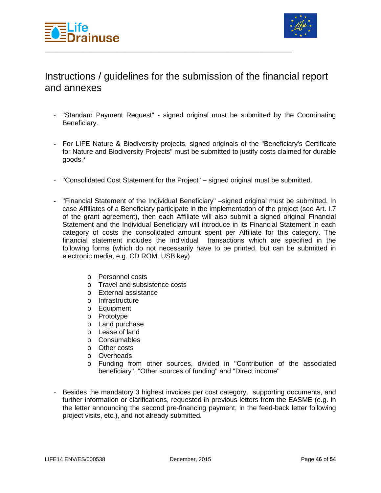



### Instructions / guidelines for the submission of the financial report and annexes

\_\_\_\_\_\_\_\_\_\_\_\_\_\_\_\_\_\_\_\_\_\_\_\_\_\_\_\_\_\_\_\_\_\_\_\_\_\_\_\_\_\_\_\_\_\_\_\_\_\_\_\_\_\_\_\_\_\_\_\_\_\_\_\_\_

- "Standard Payment Request" signed original must be submitted by the Coordinating Beneficiary.
- For LIFE Nature & Biodiversity projects, signed originals of the "Beneficiary's Certificate for Nature and Biodiversity Projects" must be submitted to justify costs claimed for durable goods.\*
- "Consolidated Cost Statement for the Project" signed original must be submitted.
- "Financial Statement of the Individual Beneficiary" –signed original must be submitted. In case Affiliates of a Beneficiary participate in the implementation of the project (see Art. I.7 of the grant agreement), then each Affiliate will also submit a signed original Financial Statement and the Individual Beneficiary will introduce in its Financial Statement in each category of costs the consolidated amount spent per Affiliate for this category. The financial statement includes the individual transactions which are specified in the following forms (which do not necessarily have to be printed, but can be submitted in electronic media, e.g. CD ROM, USB key)
	- o Personnel costs
	- o Travel and subsistence costs
	- o External assistance
	- o Infrastructure
	- o Equipment
	- o Prototype
	- o Land purchase
	- o Lease of land
	- o Consumables
	- o Other costs
	- o Overheads
	- o Funding from other sources, divided in "Contribution of the associated beneficiary", "Other sources of funding" and "Direct income"
- Besides the mandatory 3 highest invoices per cost category, supporting documents, and further information or clarifications, requested in previous letters from the EASME (e.g. in the letter announcing the second pre-financing payment, in the feed-back letter following project visits, etc.), and not already submitted.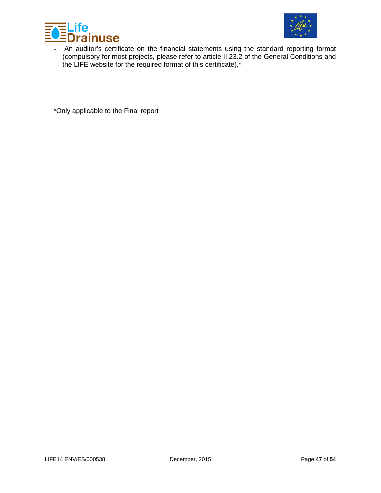



- An auditor's certificate on the financial statements using the standard reporting format (compulsory for most projects, please refer to article II.23.2 of the General Conditions and the LIFE website for the required format of this certificate).\*

\*Only applicable to the Final report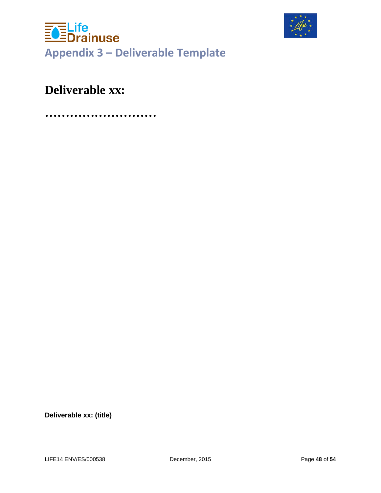<span id="page-47-0"></span>



# **Deliverable xx:**

**………………………**

**Deliverable xx: (title)**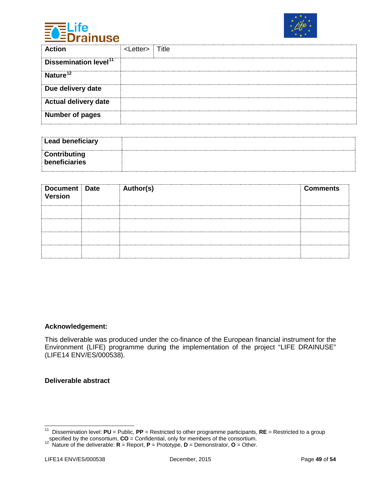



| <b>Action</b>                     | <i etter=""></i> | Title |
|-----------------------------------|------------------|-------|
| Dissemination level <sup>11</sup> |                  |       |
| Nature <sup>12</sup>              |                  |       |
| Due delivery date                 |                  |       |
| <b>Actual delivery date</b>       |                  |       |
| <b>Number of pages</b>            |                  |       |

| Lead beneficiary              |  |
|-------------------------------|--|
| Contributing<br>beneficiaries |  |

| Document Date<br>Version | Author(s) | <b>Comments</b> |
|--------------------------|-----------|-----------------|
|                          |           |                 |
|                          |           |                 |
|                          |           |                 |
|                          |           |                 |

#### **Acknowledgement:**

This deliverable was produced under the co-finance of the European financial instrument for the Environment (LIFE) programme during the implementation of the project "LIFE DRAINUSE" (LIFE14 ENV/ES/000538).

#### **Deliverable abstract**

<span id="page-48-0"></span> <sup>11</sup> Dissemination level: **PU** = Public, **PP** = Restricted to other programme participants, **RE** = Restricted to a group

<span id="page-48-1"></span>specified by the consortium, **CO** = Confidential, only for members of the consortium. 12 Nature of the deliverable: **<sup>R</sup>** = Report, **<sup>P</sup>** = Prototype, **<sup>D</sup>** = Demonstrator, **<sup>O</sup>** = Other.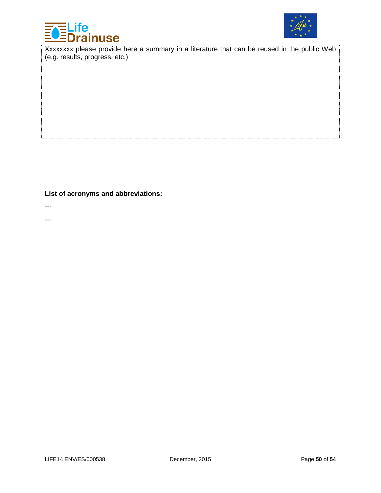



Xxxxxxxx please provide here a summary in a literature that can be reused in the public Web (e.g. results, progress, etc.)

**List of acronyms and abbreviations:**

---

---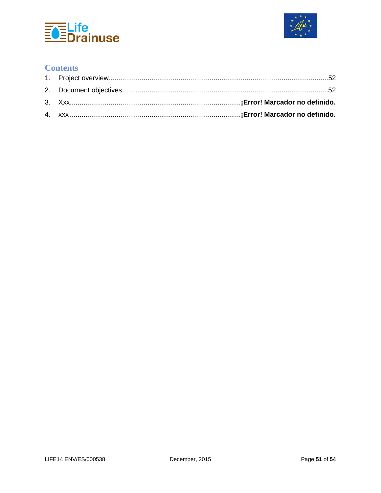



### **Contents**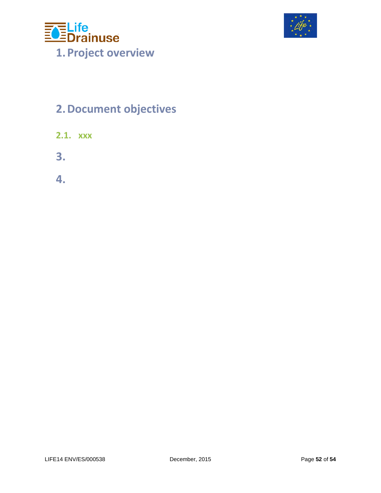<span id="page-51-0"></span>



# <span id="page-51-1"></span>**2.Document objectives**

- **2.1. xxx**
- <span id="page-51-2"></span>**3.**
- <span id="page-51-3"></span>**4.**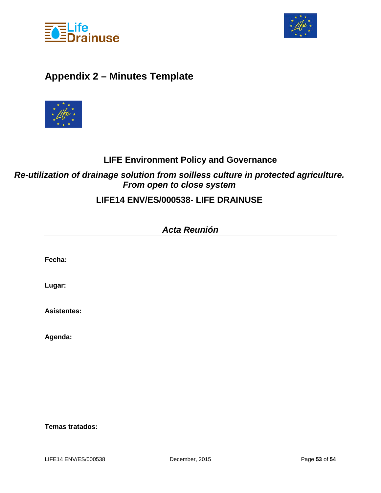



### <span id="page-52-0"></span>**Appendix 2 – Minutes Template**



### **LIFE Environment Policy and Governance**

### *Re-utilization of drainage solution from soilless culture in protected agriculture. From open to close system*

### **LIFE14 ENV/ES/000538- LIFE DRAINUSE**

| <b>Acta Reunión</b> |  |  |  |
|---------------------|--|--|--|
|                     |  |  |  |
| Fecha:              |  |  |  |
|                     |  |  |  |
| Lugar:              |  |  |  |
| <b>Asistentes:</b>  |  |  |  |
| Agenda:             |  |  |  |
|                     |  |  |  |
|                     |  |  |  |
|                     |  |  |  |
|                     |  |  |  |

#### **Temas tratados:**